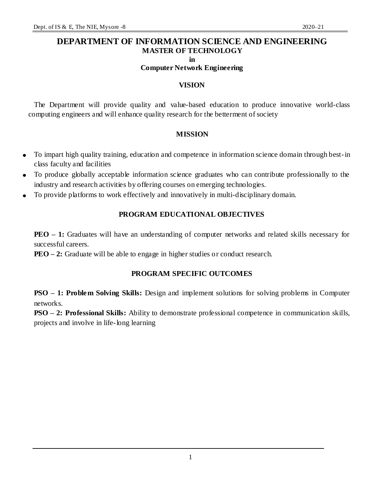### **DEPARTMENT OF INFORMATION SCIENCE AND ENGINEERING MASTER OF TECHNOLOGY in**

**Computer Network Engineering**

#### **VISION**

The Department will provide quality and value-based education to produce innovative world-class computing engineers and will enhance quality research for the betterment of society

#### **MISSION**

- To impart high quality training, education and competence in information science domain through best-in  $\bullet$ class faculty and facilities
- To produce globally acceptable information science graduates who can contribute professionally to the industry and research activities by offering courses on emerging technologies.
- To provide platforms to work effectively and innovatively in multi-disciplinary domain.  $\bullet$

### **PROGRAM EDUCATIONAL OBJECTIVES**

**PEO** – 1: Graduates will have an understanding of computer networks and related skills necessary for successful careers.

**PEO – 2:** Graduate will be able to engage in higher studies or conduct research.

### **PROGRAM SPECIFIC OUTCOMES**

**PSO – 1: Problem Solving Skills:** Design and implement solutions for solving problems in Computer networks.

**PSO – 2: Professional Skills:** Ability to demonstrate professional competence in communication skills, projects and involve in life-long learning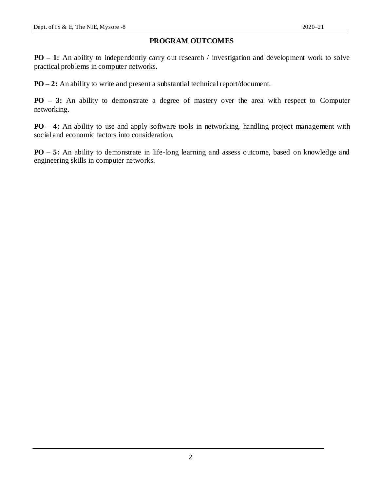### **PROGRAM OUTCOMES**

**PO** – 1: An ability to independently carry out research / investigation and development work to solve practical problems in computer networks.

**PO – 2:** An ability to write and present a substantial technical report/document.

**PO – 3:** An ability to demonstrate a degree of mastery over the area with respect to Computer networking.

**PO – 4:** An ability to use and apply software tools in networking, handling project management with social and economic factors into consideration.

**PO – 5:** An ability to demonstrate in life-long learning and assess outcome, based on knowledge and engineering skills in computer networks.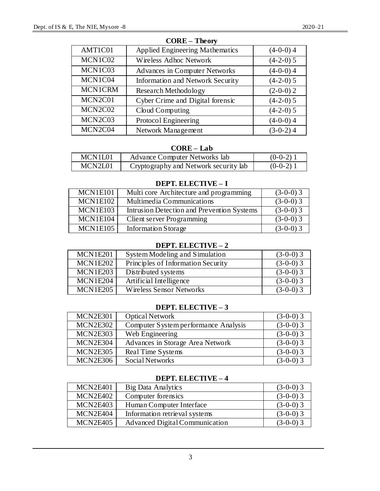|                | <b>AMVVA</b>                            |             |
|----------------|-----------------------------------------|-------------|
| AMT1C01        | <b>Applied Engineering Mathematics</b>  | $(4-0-0)$ 4 |
| MCN1C02        | Wireless Adhoc Network                  | $(4-2-0)$ 5 |
| MCN1C03        | <b>Advances in Computer Networks</b>    | $(4-0-0)$ 4 |
| MCN1C04        | <b>Information and Network Security</b> | $(4-2-0)$ 5 |
| <b>MCN1CRM</b> | Research Methodology                    | $(2-0-0)$ 2 |
| MCN2C01        | Cyber Crime and Digital forensic        | $(4-2-0)$ 5 |
| MCN2C02        | Cloud Computing                         | $(4-2-0)$ 5 |
| MCN2C03        | Protocol Engineering                    | $(4-0-0)$ 4 |
| MCN2C04        | Network Management                      | $(3-0-2)$ 4 |

#### **CORE – Theory**

#### **CORE – Lab**

| MCN1L01 | Advance Computer Networks lab         | $(0-0-2)$ 1 |
|---------|---------------------------------------|-------------|
| MCN2L01 | Cryptography and Network security lab | $(0-0-2)$ 1 |

### **DEPT. ELECTIVE – I**

| MCN1E101 | Multi core Architecture and programming    | $(3-0-0)$ 3 |
|----------|--------------------------------------------|-------------|
| MCN1E102 | Multimedia Communications                  | $(3-0-0)$ 3 |
| MCN1E103 | Intrusion Detection and Prevention Systems | $(3-0-0)$ 3 |
| MCN1E104 | Client server Programming                  | $(3-0-0)$ 3 |
| MCN1E105 | Information Storage                        | $(3-0-0)$ 3 |

### **DEPT. ELECTIVE – 2**

| MCN1E201        | System Modeling and Simulation     | $(3-0-0)$ 3 |
|-----------------|------------------------------------|-------------|
| <b>MCN1E202</b> | Principles of Information Security | $(3-0-0)$ 3 |
| MCN1E203        | Distributed systems                | $(3-0-0)$ 3 |
| MCN1E204        | Artificial Intelligence            | $(3-0-0)$ 3 |
| MCN1E205        | <b>Wireless Sensor Networks</b>    | $(3-0-0)$ 3 |

### **DEPT. ELECTIVE – 3**

| MCN2E301 | Optical Network                      | $(3-0-0)$ 3 |
|----------|--------------------------------------|-------------|
| MCN2E302 | Computer System performance Analysis | $(3-0-0)$ 3 |
| MCN2E303 | Web Engineering                      | $(3-0-0)$ 3 |
| MCN2E304 | Advances in Storage Area Network     | $(3-0-0)$ 3 |
| MCN2E305 | Real Time Systems                    | $(3-0-0)$ 3 |
| MCN2E306 | Social Networks                      | $(3-0-0)$ 3 |

#### **DEPT. ELECTIVE – 4**

| MCN2E401        | Big Data Analytics             | $(3-0-0)$ 3 |
|-----------------|--------------------------------|-------------|
| MCN2E402        | Computer forensics             | $(3-0-0)$ 3 |
| <b>MCN2E403</b> | Human Computer Interface       | $(3-0-0)$ 3 |
| MCN2E404        | Information retrieval systems  | $(3-0-0)$ 3 |
| <b>MCN2E405</b> | Advanced Digital Communication | $(3-0-0)$ 3 |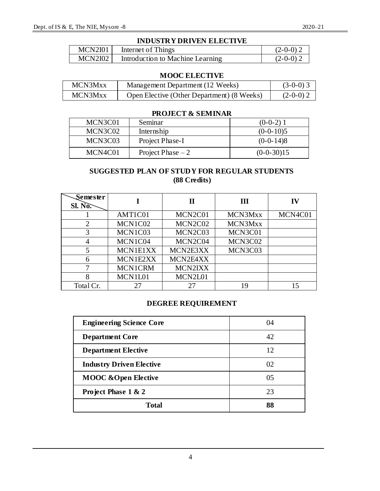#### **INDUSTRY DRIVEN ELECTIVE**

| MCN2I01 | Internet of Things               | $(2-0-0)$ 2 |
|---------|----------------------------------|-------------|
| MCN2I02 | Introduction to Machine Learning | $(2-0-0)$ 2 |

#### **MOOC ELECTIVE**

| MCN3Mxx | Management Department (12 Weeks)           | $(3-0-0)$ 3 |
|---------|--------------------------------------------|-------------|
| MCN3Mxx | Open Elective (Other Department) (8 Weeks) | $(2-0-0)$ 2 |

### **PROJECT & SEMINAR**

| MCN3C01 | Seminar            | $(0-0-2)$ 1  |
|---------|--------------------|--------------|
| MCN3C02 | Internship         | $(0-0-10)5$  |
| MCN3C03 | Project Phase-I    | $(0-0-14)8$  |
| MCN4C01 | Project Phase $-2$ | $(0-0-30)15$ |

### **SUGGESTED PLAN OF STUDY FOR REGULAR STUDENTS (88 Credits)**

| Semester<br>SI. N <sub>0</sub> |                 | П        | Ш       | IV      |
|--------------------------------|-----------------|----------|---------|---------|
|                                | AMT1C01         | MCN2C01  | MCN3Mxx | MCN4C01 |
| 2                              | MCN1C02         | MCN2C02  | MCN3Mxx |         |
| 3                              | MCN1C03         | MCN2C03  | MCN3C01 |         |
|                                | MCN1C04         | MCN2C04  | MCN3C02 |         |
|                                | <b>MCN1E1XX</b> | MCN2E3XX | MCN3C03 |         |
|                                | MCN1E2XX        | MCN2E4XX |         |         |
|                                | <b>MCN1CRM</b>  | MCN2IXX  |         |         |
| 8                              | MCN1L01         | MCN2L01  |         |         |
| Total Cr.                      | 27              | 27       | 19      |         |

#### **DEGREE REQUIREMENT**

| <b>Engineering Science Core</b> | 04 |
|---------------------------------|----|
| <b>Department Core</b>          | 42 |
| <b>Department Elective</b>      | 12 |
| <b>Industry Driven Elective</b> | O2 |
| <b>MOOC &amp; Open Elective</b> | 05 |
| Project Phase 1 & 2             | 23 |
| <b>Total</b>                    | 88 |

4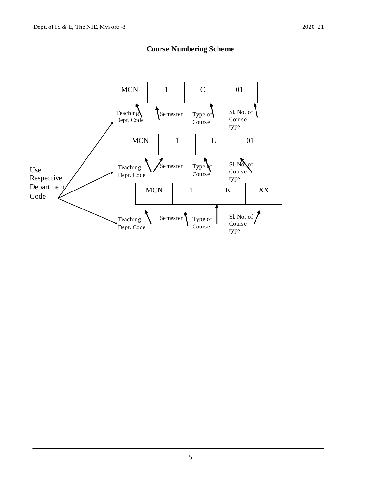

**Course Numbering Scheme**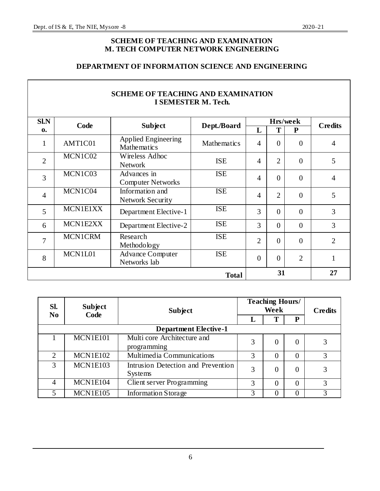### **SCHEME OF TEACHING AND EXAMINATION M. TECH COMPUTER NETWORK ENGINEERING**

### **DEPARTMENT OF INFORMATION SCIENCE AND ENGINEERING**

|                | <b>SCHEME OF TEACHING AND EXAMINATION</b><br>I SEMESTER M. Tech. |                                                  |                    |                |                |                |                |
|----------------|------------------------------------------------------------------|--------------------------------------------------|--------------------|----------------|----------------|----------------|----------------|
| SLN            | Code                                                             | <b>Subject</b>                                   | Dept./Board        |                | Hrs/week       | <b>Credits</b> |                |
| $\mathbf{0}$   |                                                                  |                                                  |                    | L              | T              | $\mathbf{P}$   |                |
| $\mathbf{1}$   | AMT1C01                                                          | <b>Applied Engineering</b><br><b>Mathematics</b> | <b>Mathematics</b> | $\overline{4}$ | $\theta$       | $\theta$       | $\overline{4}$ |
| $\overline{2}$ | MCN1C02                                                          | Wireless Adhoc<br><b>Network</b>                 | <b>ISE</b>         | $\overline{4}$ | $\overline{2}$ | $\Omega$       | 5              |
| 3              | MCN1C03                                                          | Advances in<br><b>Computer Networks</b>          | <b>ISE</b>         | $\overline{4}$ | $\overline{0}$ | $\theta$       | 4              |
| $\overline{4}$ | MCN1C04                                                          | Information and<br><b>Network Security</b>       | <b>ISE</b>         | $\overline{4}$ | $\overline{2}$ | $\theta$       | 5              |
| 5              | MCN1E1XX                                                         | Department Elective-1                            | <b>ISE</b>         | 3              | $\overline{0}$ | $\theta$       | 3              |
| 6              | MCN1E2XX                                                         | Department Elective-2                            | <b>ISE</b>         | 3              | $\theta$       | $\theta$       | 3              |
| 7              | <b>MCN1CRM</b>                                                   | Research<br>Methodology                          | <b>ISE</b>         | $\overline{2}$ | $\theta$       | $\theta$       | $\overline{2}$ |
| 8              | MCN1L01                                                          | <b>Advance Computer</b><br>Networks lab          | <b>ISE</b>         | $\overline{0}$ | $\overline{0}$ | $\overline{2}$ | $\mathbf{1}$   |
|                |                                                                  |                                                  | <b>Total</b>       |                | 31             |                | 27             |

| Sl.<br>N <sub>0</sub> | <b>Subject</b>               | <b>Subject</b>                                | <b>Teaching Hours/</b><br>Week |   |                | <b>Credits</b> |  |
|-----------------------|------------------------------|-----------------------------------------------|--------------------------------|---|----------------|----------------|--|
|                       | Code                         |                                               |                                | т | P              |                |  |
|                       | <b>Department Elective-1</b> |                                               |                                |   |                |                |  |
|                       | MCN1E101                     | Multi core Architecture and<br>programming    | 3                              |   | $\overline{0}$ |                |  |
| $\overline{2}$        | <b>MCN1E102</b>              | Multimedia Communications                     | 3                              |   | $\theta$       | 3              |  |
| 3                     | MCN1E103                     | Intrusion Detection and Prevention<br>Systems | 3                              |   | $\theta$       | 3              |  |
| 4                     | MCN1E104                     | Client server Programming                     | 3                              |   | $\theta$       | 3              |  |
| 5                     | MCN1E105                     | Information Storage                           | 3                              |   | $\theta$       |                |  |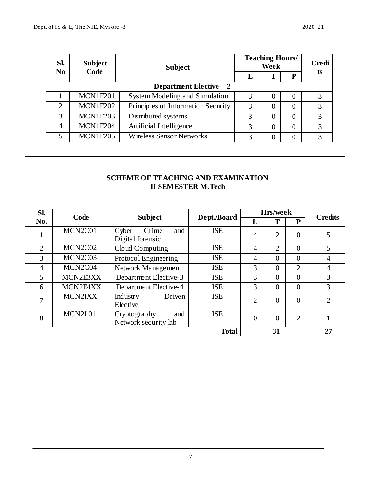| Sl.<br><b>Subject</b><br>$\bf No$ |                 | <b>Subject</b>                     | <b>Teaching Hours/</b> | Credi    |          |                   |  |
|-----------------------------------|-----------------|------------------------------------|------------------------|----------|----------|-------------------|--|
|                                   | Code            |                                    |                        | m        | P        | ts                |  |
| Department Elective $-2$          |                 |                                    |                        |          |          |                   |  |
|                                   | MCN1E201        | System Modeling and Simulation     | 3                      | 0        | $\Omega$ |                   |  |
| $\overline{2}$                    | <b>MCN1E202</b> | Principles of Information Security | 3                      | $\Omega$ | $\theta$ | 3                 |  |
| 3                                 | MCN1E203        | Distributed systems                | 3                      | 0        | $\theta$ | 3                 |  |
| 4                                 | MCN1E204        | Artificial Intelligence            | 3                      | 0        | 0        | $\mathbf{\Omega}$ |  |
| 5                                 | <b>MCN1E205</b> | <b>Wireless Sensor Networks</b>    | 3                      | 0        | 0        | 3                 |  |

### **SCHEME OF TEACHING AND EXAMINATION II SEMESTER M.Tech**

| Sl.            | Code     | <b>Subject</b>                              | Dept./Board  |                | Hrs/week       |                | <b>Credits</b> |
|----------------|----------|---------------------------------------------|--------------|----------------|----------------|----------------|----------------|
| No.            |          |                                             |              | Ъ.             |                | P              |                |
| 1              | MCN2C01  | Crime<br>and<br>Cyber<br>Digital forensic   | <b>ISE</b>   | 4              | $\overline{2}$ | $\overline{0}$ | 5              |
| $\overline{2}$ | MCN2C02  | Cloud Computing                             | <b>ISE</b>   | 4              | $\mathfrak{2}$ | $\theta$       | 5              |
| 3              | MCN2C03  | Protocol Engineering                        | <b>ISE</b>   | 4              | $\theta$       | $\theta$       | 4              |
| $\overline{4}$ | MCN2C04  | Network Management                          | <b>ISE</b>   | 3              | $\theta$       | $\overline{2}$ | $\overline{4}$ |
| 5              | MCN2E3XX | Department Elective-3                       | <b>ISE</b>   | 3              | $\Omega$       | $\theta$       | 3              |
| 6              | MCN2E4XX | Department Elective-4                       | <b>ISE</b>   | 3              | $\theta$       | $\theta$       | 3              |
| 7              | MCN2IXX  | Driven<br>Industry<br>Elective              | <b>ISE</b>   | $\overline{2}$ | $\theta$       | $\overline{0}$ | $\mathfrak{D}$ |
| 8              | MCN2L01  | and<br>Cryptography<br>Network security lab | <b>ISE</b>   | $\theta$       | $\Omega$       | $\overline{2}$ |                |
|                |          |                                             | <b>Total</b> |                | 31             |                | 27             |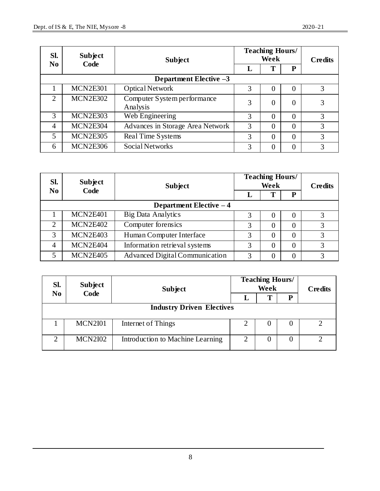| Sl.<br><b>Subject</b>       |                 | <b>Subject</b>                          | <b>Teaching Hours/</b><br>Week |                |          | <b>Credits</b> |
|-----------------------------|-----------------|-----------------------------------------|--------------------------------|----------------|----------|----------------|
| N <sub>0</sub>              | Code            |                                         | L                              | Т              | P        |                |
| Department Elective $-3$    |                 |                                         |                                |                |          |                |
|                             | <b>MCN2E301</b> | Optical Network                         | 3                              | 0              | $\Omega$ | 3              |
| $\mathcal{D}_{\mathcal{L}}$ | <b>MCN2E302</b> | Computer System performance<br>Analysis | 3                              | $\overline{0}$ | $\theta$ | 3              |
| 3                           | MCN2E303        | Web Engineering                         | 3                              | $\theta$       | $\theta$ | 3              |
| $\overline{4}$              | MCN2E304        | Advances in Storage Area Network        | 3                              | $\Omega$       | $\Omega$ | 3              |
| 5                           | MCN2E305        | Real Time Systems                       | 3                              | $\theta$       | $\theta$ | 3              |
| 6                           | MCN2E306        | Social Networks                         | 3                              | $\theta$       | $\theta$ | 3              |

| Sl.                      | <b>Subject</b>  | <b>Subject</b>                        |   | <b>Teaching Hours/</b><br>Week |          |   |  |
|--------------------------|-----------------|---------------------------------------|---|--------------------------------|----------|---|--|
| $\bf No$                 | Code            |                                       |   | т                              | P        |   |  |
| Department Elective $-4$ |                 |                                       |   |                                |          |   |  |
|                          | MCN2E401        | <b>Big Data Analytics</b>             |   | $\theta$                       | 0        |   |  |
| $\mathcal{D}_{\cdot}$    | MCN2E402        | Computer forensics                    | 3 | $\theta$                       | $\theta$ | 3 |  |
| 3                        | <b>MCN2E403</b> | Human Computer Interface              | 3 | $\theta$                       | $\theta$ | 3 |  |
| $\overline{4}$           | MCN2E404        | Information retrieval systems         | 3 | $\theta$                       | $\theta$ | 3 |  |
| 5                        | <b>MCN2E405</b> | <b>Advanced Digital Communication</b> | 3 | $\Omega$                       | $\theta$ |   |  |

| Sl.                              | <b>Subject</b>         | <b>Subject</b>                   | <b>Teaching Hours/</b> | <b>Credits</b> |   |  |
|----------------------------------|------------------------|----------------------------------|------------------------|----------------|---|--|
|                                  | Code<br>N <sub>0</sub> |                                  | L                      | т              | p |  |
| <b>Industry Driven Electives</b> |                        |                                  |                        |                |   |  |
|                                  | <b>MCN2I01</b>         | Internet of Things               |                        | O              | O |  |
| $\mathcal{L}$                    | <b>MCN2I02</b>         | Introduction to Machine Learning | 2                      |                | 0 |  |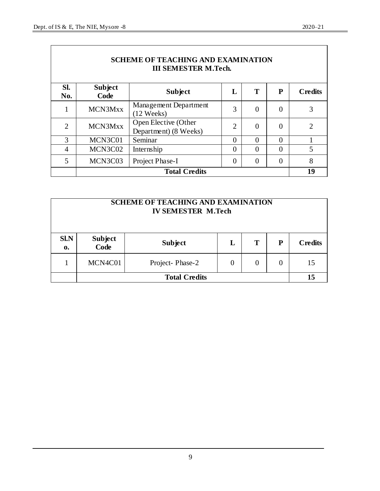$\overline{\Gamma}$ 

ן

| <b>SCHEME OF TEACHING AND EXAMINATION</b><br><b>III SEMESTER M.Tech.</b> |                      |                                               |                |                |                |                |
|--------------------------------------------------------------------------|----------------------|-----------------------------------------------|----------------|----------------|----------------|----------------|
| Sl.<br>No.                                                               | Subject<br>Code      | <b>Subject</b>                                | L              | T              | P              | <b>Credits</b> |
| 1                                                                        | MCN3Mxx              | Management Department<br>(12 Weeks)           | 3              | $\overline{0}$ | $\overline{0}$ | 3              |
| $\overline{2}$                                                           | MCN3Mxx              | Open Elective (Other<br>Department) (8 Weeks) | $\overline{2}$ | $\theta$       | $\Omega$       | $\overline{2}$ |
| 3                                                                        | MCN3C01              | Seminar                                       | $\theta$       | $\theta$       | $\Omega$       |                |
| $\overline{4}$                                                           | MCN3C02              | Internship                                    | $\overline{0}$ | $\theta$       | $\theta$       | 5              |
| 5                                                                        | MCN3C03              | Project Phase-I                               | $\theta$       | $\theta$       | $\theta$       | 8              |
|                                                                          | <b>Total Credits</b> |                                               |                |                |                |                |

| <b>SCHEME OF TEACHING AND EXAMINATION</b><br><b>IV SEMESTER M.Tech</b> |                 |                 |   |          |          |                |
|------------------------------------------------------------------------|-----------------|-----------------|---|----------|----------|----------------|
| <b>SI.N</b><br>$\mathbf{0}$                                            | Subject<br>Code | <b>Subject</b>  | L | T        | P        | <b>Credits</b> |
|                                                                        | MCN4C01         | Project-Phase-2 | 0 | $\theta$ | $\theta$ | 15             |
| <b>Total Credits</b>                                                   |                 |                 |   |          | 15       |                |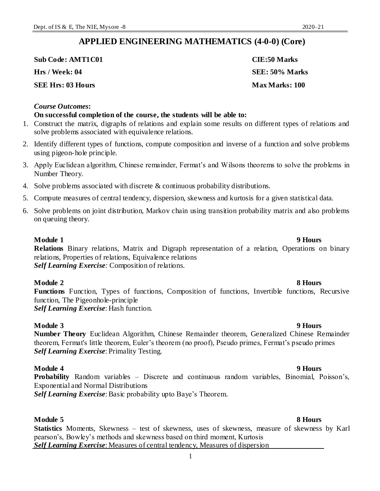### **APPLIED ENGINEERING MATHEMATICS (4-0-0) (Core)**

**Sub Code: AMT1C01 CIE:50 Marks Hrs / Week: 04 SEE: 50% Marks**

**SEE Hrs: 03 Hours Max Marks: 100** 

#### *Course Outcomes***:**

#### **On successful completion of the course, the students will be able to:**

- 1. Construct the matrix, digraphs of relations and explain some results on different types of relations and solve problems associated with equivalence relations.
- 2. Identify different types of functions, compute composition and inverse of a function and solve problems using pigeon-hole principle.
- 3. Apply Euclidean algorithm, Chinese remainder, Fermat's and Wilsons theorems to solve the problems in Number Theory.
- 4. Solve problems associated with discrete  $\&$  continuous probability distributions.
- 5. Compute measures of central tendency, dispersion, skewness and kurtosis for a given statistical data.
- 6. Solve problems on joint distribution, Markov chain using transition probability matrix and also problems on queuing theory.

### **Module 1 9 Hours**

**Relations** Binary relations, Matrix and Digraph representation of a relation, Operations on binary relations, Properties of relations, Equivalence relations *Self Learning Exercise:* Composition of relations.

### **Module 2 8 Hours**

**Functions** Function, Types of functions, Composition of functions, Invertible functions, Recursive function, The Pigeonhole-principle *Self Learning Exercise*: Hash function.

**Module 3 9 Hours Number Theory** Euclidean Algorithm, Chinese Remainder theorem, Generalized Chinese Remainder theorem, Fermat's little theorem, Euler's theorem (no proof), Pseudo primes, Fermat's pseudo primes *Self Learning Exercise*: Primality Testing.

### **Module 4 9 Hours**

**Probability** Random variables – Discrete and continuous random variables, Binomial, Poisson's, Exponential and Normal Distributions

*Self Learning Exercise*: Basic probability upto Baye's Theorem.

**Module 5 8 Hours Statistics** Moments, Skewness – test of skewness, uses of skewness, measure of skewness by Karl pearson's, Bowley's methods and skewness based on third moment, Kurtosis *Self Learning Exercise*: Measures of central tendency, Measures of dispersion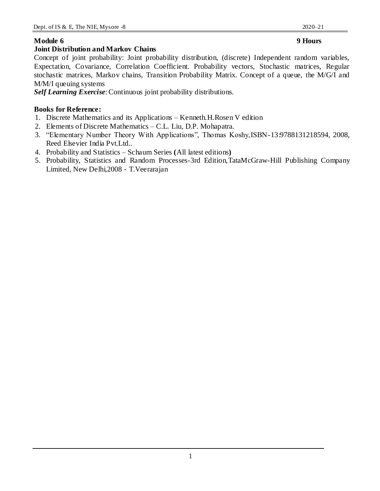### **Joint Distribution and Markov Chains**

Concept of joint probability: Joint probability distribution, (discrete) Independent random variables, Expectation, Covariance, Correlation Coefficient. Probability vectors, Stochastic matrices, Regular stochastic matrices, Markov chains, Transition Probability Matrix. Concept of a queue, the M/G/I and M/M/I queuing systems

*Self Learning Exercise*: Continuous joint probability distributions.

### **Books for Reference:**

- 1. Discrete Mathematics and its Applications Kenneth.H.Rosen V edition
- 2. Elements of Discrete Mathematics C.L. Liu, D.P. Mohapatra.
- 3. "Elementary Number Theory With Applications", Thomas Koshy,ISBN-13:9788131218594, 2008, Reed Elsevier India Pvt.Ltd..
- 4. Probability and Statistics Schaum Series **(**All latest editions**)**
- 5. Probability, Statistics and Random Processes-3rd Edition,TataMcGraw-Hill Publishing Company Limited, New Delhi,2008 - T.Veerarajan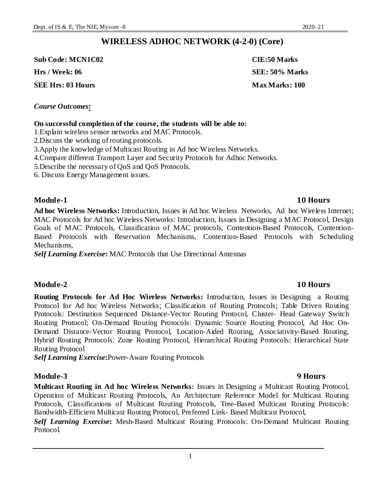### **WIRELESS ADHOC NETWORK (4-2-0) (Core)**

**Sub Code: MCN1C02 CIE:50 Marks**

**SEE Hrs: 03 Hours Max Marks: 100** 

### *Course Outcomes***:**

#### **On successful completion of the course, the students will be able to:**

1.Explain wireless sensor networks and MAC Protocols.

2.Discuss the working of routing protocols.

3.Apply the knowledge of Multicast Routing in Ad hoc Wireless Networks.

4.Compare different Transport Layer and Security Protocols for Adhoc Networks.

5.Describe the necessary of QoS and QoS Protocols.

6. Discuss Energy Management issues.

### **Module-1 10 Hours**

**Ad hoc Wireless Networks:** Introduction, Issues in Ad hoc Wireless Networks, Ad hoc Wireless Internet; MAC Protocols for Ad hoc Wireless Networks: Introduction, Issues in Designing a MAC Protocol, Design Goals of MAC Protocols, Classification of MAC protocols, Contention-Based Protocols, Contention-Based Protocols with Reservation Mechanisms, Contention-Based Protocols with Scheduling Mechanisms,

*Self Learning Exercise***:** MAC Protocols that Use Directional Antennas

#### **Module-2 10 Hours**

**Routing Protocols for Ad Hoc Wireless Networks:** Introduction, Issues in Designing a Routing Protocol for Ad hoc Wireless Networks; Classification of Routing Protocols; Table Driven Routing Protocols: Destination Sequenced Distance-Vector Routing Protocol, Cluster- Head Gateway Switch Routing Protocol; On-Demand Routing Protocols: Dynamic Source Routing Protocol, Ad Hoc On-Demand Distance-Vector Routing Protocol, Location-Aided Routing, Associativity-Based Routing, Hybrid Routing Protocols: Zone Routing Protocol, Hierarchical Routing Protocols: Hierarchical State Routing Protocol

*Self Learning Exercise***:**Power-Aware Routing Protocols

#### **Module-3 9 Hours**

**Multicast Routing in Ad hoc Wireless Networks:** Issues in Designing a Multicast Routing Protocol, Operation of Multicast Routing Protocols, An Architecture Reference Model for Multicast Routing Protocols, Classifications of Multicast Routing Protocols, Tree-Based Multicast Routing Protocols: Bandwidth-Efficient Multicast Routing Protocol, Preferred Link- Based Multicast Protocol,

*Self Learning Exercise***:** Mesh-Based Multicast Routing Protocols: On-Demand Multicast Routing Protocol.

**Hrs / Week: 06 SEE: 50% Marks**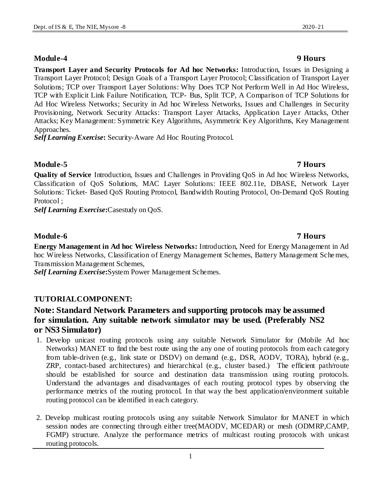#### Attacks; Key Management: Symmetric Key Algorithms, Asymmetric Key Algorithms, Key Management Approaches.

*Self Learning Exercise***:** Security-Aware Ad Hoc Routing Protocol.

### **Module-5 7 Hours**

**Quality of Service** Introduction, Issues and Challenges in Providing QoS in Ad hoc Wireless Networks, Classification of QoS Solutions, MAC Layer Solutions: IEEE 802.11e, DBASE, Network Layer Solutions: Ticket- Based QoS Routing Protocol, Bandwidth Routing Protocol, On-Demand QoS Routing Protocol ;

**Transport Layer and Security Protocols for Ad hoc Networks:** Introduction, Issues in Designing a Transport Layer Protocol; Design Goals of a Transport Layer Protocol; Classification of Transport Layer Solutions; TCP over Transport Layer Solutions: Why Does TCP Not Perform Well in Ad Hoc Wireless, TCP with Explicit Link Failure Notification, TCP- Bus, Split TCP, A Comparison of TCP Solutions for Ad Hoc Wireless Networks; Security in Ad hoc Wireless Networks, Issues and Challenges in Security Provisioning, Network Security Attacks: Transport Layer Attacks, Application Layer Attacks, Other

*Self Learning Exercise***:**Casestudy on QoS.

### **Module-6 7 Hours**

**Energy Management in Ad hoc Wireless Networks:** Introduction, Need for Energy Management in Ad hoc Wireless Networks, Classification of Energy Management Schemes, Battery Management Schemes, Transmission Management Schemes,

*Self Learning Exercise***:**System Power Management Schemes.

### **TUTORIALCOMPONENT:**

### **Note: Standard Network Parameters and supporting protocols may be assumed for simulation. Any suitable network simulator may be used. (Preferably NS2 or NS3 Simulator)**

- 1. Develop unicast routing protocols using any suitable Network Simulator for (Mobile Ad hoc Networks) MANET to find the best route using the any one of routing protocols from each category from table-driven (e.g., link state or DSDV) on demand (e.g., DSR, AODV, TORA), hybrid (e.g., ZRP, contact-based architectures) and hierarchical (e.g., cluster based.) The efficient path/route should be established for source and destination data transmission using routing protocols. Understand the advantages and disadvantages of each routing protocol types by observing the performance metrics of the routing protocol. In that way the best application/environment suitable routing protocol can be identified in each category.
- 2. Develop multicast routing protocols using any suitable Network Simulator for MANET in which session nodes are connecting through either tree(MAODV, MCEDAR) or mesh (ODMRP,CAMP, FGMP) structure. Analyze the performance metrics of multicast routing protocols with unicast routing protocols.

### **Module-4 9 Hours**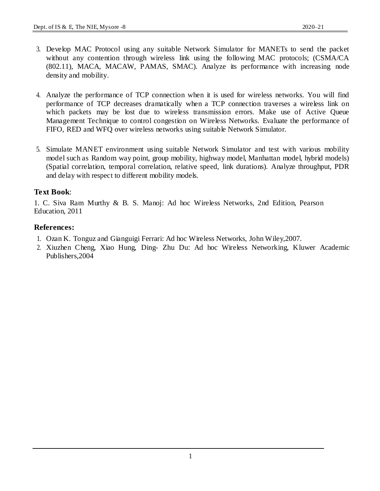- 3. Develop MAC Protocol using any suitable Network Simulator for MANETs to send the packet without any contention through wireless link using the following MAC protocols; (CSMA/CA (802.11), MACA, MACAW, PAMAS, SMAC). Analyze its performance with increasing node density and mobility.
- 4. Analyze the performance of TCP connection when it is used for wireless networks. You will find performance of TCP decreases dramatically when a TCP connection traverses a wireless link on which packets may be lost due to wireless transmission errors. Make use of Active Queue Management Technique to control congestion on Wireless Networks. Evaluate the performance of FIFO, RED and WFQ over wireless networks using suitable Network Simulator.
- 5. Simulate MANET environment using suitable Network Simulator and test with various mobility model such as Random way point, group mobility, highway model, Manhattan model, hybrid models) (Spatial correlation, temporal correlation, relative speed, link durations). Analyze throughput, PDR and delay with respect to different mobility models.

### **Text Book**:

1. C. Siva Ram Murthy & B. S. Manoj: Ad hoc Wireless Networks, 2nd Edition, Pearson Education, 2011

#### **References:**

- 1. Ozan K. Tonguz and Gianguigi Ferrari: Ad hoc Wireless Networks, John Wiley,2007.
- 2. Xiuzhen Cheng, Xiao Hung, Ding- Zhu Du: Ad hoc Wireless Networking, Kluwer Academic Publishers,2004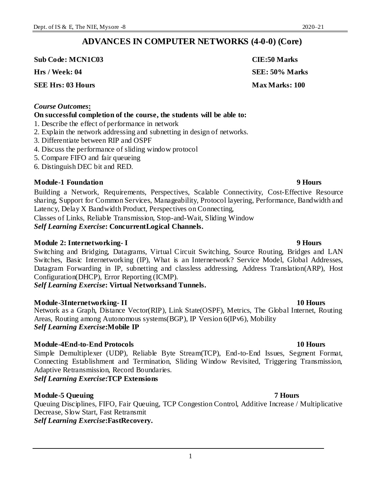### **ADVANCES IN COMPUTER NETWORKS (4-0-0) (Core)**

**Sub Code: MCN1C03 CIE:50 Marks**

**Hrs / Week: 04 SEE: 50% Marks**

**SEE Hrs: 03 Hours Max Marks: 100** 

#### *Course Outcomes***:**

#### **On successful completion of the course, the students will be able to:**

- 1. Describe the effect of performance in network
- 2. Explain the network addressing and subnetting in design of networks.
- 3. Differentiate between RIP and OSPF
- 4. Discuss the performance of sliding window protocol
- 5. Compare FIFO and fair queueing
- 6. Distinguish DEC bit and RED.

### **Module-1 Foundation 9 Hours**

Building a Network, Requirements, Perspectives, Scalable Connectivity, Cost-Effective Resource sharing, Support for Common Services, Manageability, Protocol layering, Performance, Bandwidth and Latency, Delay X Bandwidth Product, Perspectives on Connecting,

Classes of Links, Reliable Transmission, Stop-and-Wait, Sliding Window *Self Learning Exercise***: ConcurrentLogical Channels.**

#### **Module 2: Internetworking- I 9 Hours**

Switching and Bridging, Datagrams, Virtual Circuit Switching, Source Routing, Bridges and LAN Switches, Basic Internetworking (IP), What is an Internetwork? Service Model, Global Addresses, Datagram Forwarding in IP, subnetting and classless addressing, Address Translation(ARP), Host Configuration(DHCP), Error Reporting (ICMP).

*Self Learning Exercise***: Virtual Networksand Tunnels.**

### **Module-3Internetworking- II 10 Hours**

Network as a Graph, Distance Vector(RIP), Link State(OSPF), Metrics, The Global Internet, Routing Areas, Routing among Autonomous systems(BGP), IP Version 6(IPv6), Mobility *Self Learning Exercise***:Mobile IP**

### **Module-4End-to-End Protocols 10 Hours**

Simple Demultiplexer (UDP), Reliable Byte Stream(TCP), End-to-End Issues, Segment Format, Connecting Establishment and Termination, Sliding Window Revisited, Triggering Transmission, Adaptive Retransmission, Record Boundaries.

*Self Learning Exercise***:TCP Extensions**

### **Module-5 Queuing 7 Hours**

Queuing Disciplines, FIFO, Fair Queuing, TCP Congestion Control, Additive Increase / Multiplicative Decrease, Slow Start, Fast Retransmit *Self Learning Exercise***:FastRecovery.**

#### 1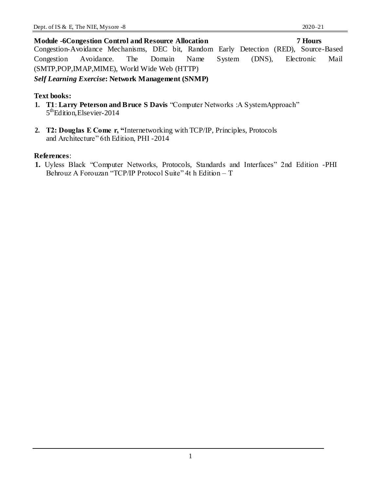#### **Module -6Congestion Control and Resource Allocation 7 Hours**

Congestion-Avoidance Mechanisms, DEC bit, Random Early Detection (RED), Source-Based Congestion Avoidance. The Domain Name System (DNS), Electronic Mail (SMTP,POP,IMAP,MIME), World Wide Web (HTTP)

#### *Self Learning Exercise***: Network Management (SNMP)**

#### **Text books:**

- **1. T1**: **Larry Peterson and Bruce S Davis** "Computer Networks :A SystemApproach" 5<sup>th</sup>Edition, Elsevier-2014
- **2. T2: Douglas E Come r, "**Internetworking with TCP/IP, Principles, Protocols and Architecture" 6th Edition, PHI -2014

#### **References**:

**1.** Uyless Black "Computer Networks, Protocols, Standards and Interfaces" 2nd Edition -PHI Behrouz A Forouzan "TCP/IP Protocol Suite" 4t h Edition – T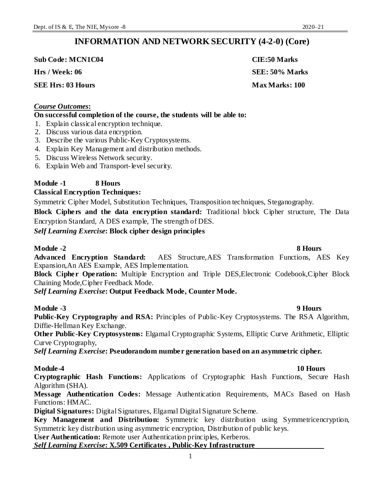### **INFORMATION AND NETWORK SECURITY (4-2-0) (Core)**

**Sub Code: MCN1C04 CIE:50 Marks Hrs / Week: 06 SEE: 50% Marks**

**SEE Hrs: 03 Hours Max Marks: 100** 

### *Course Outcomes***:**

#### **On successful completion of the course, the students will be able to:**

- 1. Explain classical encryption technique.
- 2. Discuss various data encryption.
- 3. Describe the various Public-Key Cryptosystems.
- 4. Explain Key Management and distribution methods.
- 5. Discuss Wireless Network security.
- 6. Explain Web and Transport-level security.

### **Module -1 8 Hours**

### **Classical Encryption Techniques:**

Symmetric Cipher Model, Substitution Techniques, Transposition techniques, Steganography.

**Block Ciphers and the data encryption standard:** Traditional block Cipher structure, The Data Encryption Standard, A DES example, The strength of DES.

*Self Learning Exercise***: Block cipher design principles**

### **Module -2 8 Hours**

**Advanced Encryption Standard:** AES Structure,AES Transformation Functions, AES Key Expansion,An AES Example, AES Implementation.

**Block Cipher Operation:** Multiple Encryption and Triple DES,Electronic Codebook,Cipher Block Chaining Mode,Cipher Feedback Mode.

*Self Learning Exercise***: Output Feedback Mode, Counter Mode.**

### **Module -3 9 Hours**

**Public-Key Cryptography and RSA:** Principles of Public-Key Cryptosystems. The RSA Algorithm, Diffie-Hellman Key Exchange.

**Other Public-Key Cryptosystems:** Elgamal Cryptographic Systems, Elliptic Curve Arithmetic, Elliptic Curve Cryptography,

*Self Learning Exercise***: Pseudorandom number generation based on an asymmetric cipher.**

### **Module-4 10 Hours**

**Cryptographic Hash Functions:** Applications of Cryptographic Hash Functions, Secure Hash Algorithm (SHA).

**Message Authentication Codes:** Message Authentication Requirements, MACs Based on Hash Functions: HMAC.

**Digital Signatures:** Digital Signatures, Elgamal Digital Signature Scheme.

**Key Management and Distribution:** Symmetric key distribution using Symmetricencryption, Symmetric key distribution using asymmetric encryption, Distribution of public keys.

**User Authentication:** Remote user Authentication principles, Kerberos.

*Self Learning Exercise***: X.509 Certificates , Public-Key Infrastructure**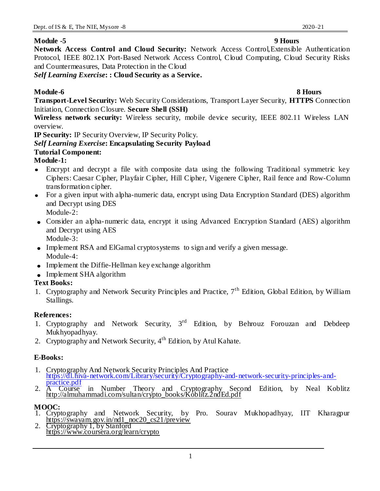#### **Module -5 9 Hours**

**Network Access Control and Cloud Security:** Network Access Control,Extensible Authentication Protocol, IEEE 802.1X Port-Based Network Access Control, Cloud Computing, Cloud Security Risks and Countermeasures, Data Protection in the Cloud

*Self Learning Exercise***: : Cloud Security as a Service.**

### **Module-6 8 Hours**

**Transport-Level Security:** Web Security Considerations, Transport Layer Security, **HTTPS** Connection Initiation, Connection Closure. **Secure Shell (SSH)**

**Wireless network security:** Wireless security, mobile device security, IEEE 802.11 Wireless LAN overview.

**IP Security:** IP Security Overview, IP Security Policy.

### *Self Learning Exercise***: Encapsulating Security Payload**

### **Tutorial Component:**

### **Module-1:**

- Encrypt and decrypt a file with composite data using the following Traditional symmetric key Ciphers: Caesar Cipher, Playfair Cipher, Hill Cipher, Vigenere Cipher, Rail fence and Row-Column transformation cipher.
- For a given input with alpha-numeric data, encrypt using Data Encryption Standard (DES) algorithm and Decrypt using DES

Module-2:

- Consider an alpha-numeric data, encrypt it using Advanced Encryption Standard (AES) algorithm and Decrypt using AES Module-3:
- Implement RSA and ElGamal cryptosystems to sign and verify a given message. Module-4:
- Implement the Diffie-Hellman key exchange algorithm
- Implement SHA algorithm

### **Text Books:**

1. Cryptography and Network Security Principles and Practice,  $7<sup>th</sup>$  Edition, Global Edition, by William Stallings.

#### **References:**

- 1. Cryptography and Network Security,  $3<sup>rd</sup>$  Edition, by Behrouz Forouzan and Debdeep Mukhyopadhyay.
- 2. Cryptography and Network Security,  $4<sup>th</sup>$  Edition, by Atul Kahate.

### **E-Books:**

- 1. Cryptography And Network Security Principles And Practice https://dl.hiva-network.com/Library/security/Cryptography-and-network-security-principles-and-
- 2. A Course Course in Number Theory and Cryptography Second Edition, by Neal Koblitz http://almuhammadi.com/sultan/crypto\_books/Koblitz.2ndEd.pdf

### **MOOC:**

- 1. Cryptography and Network Security, by Pro. Sourav Mukhopadhyay, IIT Kharagpur https://swayam.gov.in/nd1\_noc20\_cs21/preview
- 2. Cryptography 1, by Stanford https://www.coursera.org/learn/crypto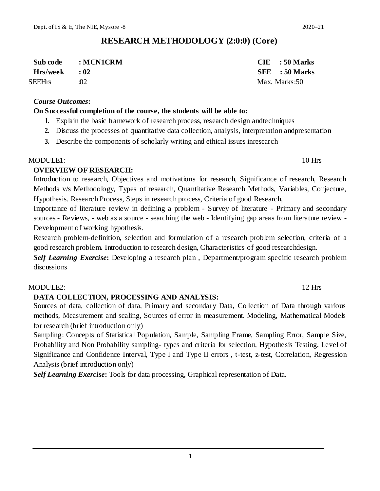### **RESEARCH METHODOLOGY (2:0:0) (Core)**

| Sub code     | : MCN1CRM | $CIE$ : 50 Marks |
|--------------|-----------|------------------|
| Hrs/week: 02 |           | SEE : 50 Marks   |
| SEEHrs       | .02       | Max. Marks:50    |

#### *Course Outcomes***:**

#### **On Successful completion of the course, the students will be able to:**

- **1.** Explain the basic framework of research process, research design andtechniques
- **2.** Discuss the processes of quantitative data collection, analysis, interpretation andpresentation
- **3.** Describe the components of scholarly writing and ethical issues inresearch

#### MODULE1: 10 Hrs

### **OVERVIEW OF RESEARCH:**

Introduction to research, Objectives and motivations for research, Significance of research, Research Methods v/s Methodology, Types of research, Quantitative Research Methods, Variables, Conjecture, Hypothesis. Research Process, Steps in research process, Criteria of good Research,

Importance of literature review in defining a problem - Survey of literature - Primary and secondary sources - Reviews, - web as a source - searching the web - Identifying gap areas from literature review - Development of working hypothesis.

Research problem-definition, selection and formulation of a research problem selection, criteria of a good research problem**.** Introduction to research design, Characteristics of good researchdesign.

*Self Learning Exercise*: Developing a research plan, Department/program specific research problem discussions

### MODULE2: 12 Hrs

### **DATA COLLECTION, PROCESSING AND ANALYSIS:**

Sources of data, collection of data, Primary and secondary Data, Collection of Data through various methods, Measurement and scaling, Sources of error in measurement. Modeling, Mathematical Models for research (brief introduction only)

Sampling: Concepts of Statistical Population, Sample, Sampling Frame, Sampling Error, Sample Size, Probability and Non Probability sampling- types and criteria for selection, Hypothesis Testing, Level of Significance and Confidence Interval, Type I and Type II errors , t-test, z-test, Correlation, Regression Analysis (brief introduction only)

*Self Learning Exercise***:** Tools for data processing, Graphical representation of Data.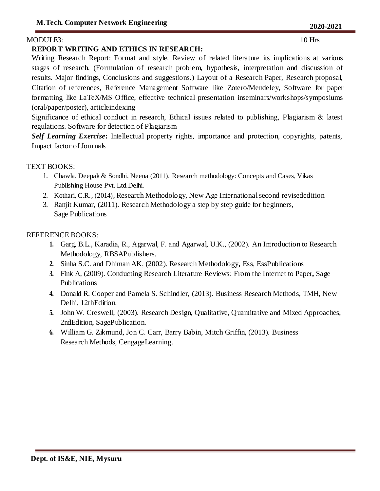#### MODULE3: 10 Hrs

#### **REPORT WRITING AND ETHICS IN RESEARCH:**

Writing Research Report: Format and style. Review of related literature its implications at various stages of research. (Formulation of research problem, hypothesis, interpretation and discussion of results. Major findings, Conclusions and suggestions.) Layout of a Research Paper, Research proposal, Citation of references, Reference Management Software like Zotero/Mendeley, Software for paper formatting like LaTeX/MS Office, effective technical presentation inseminars/workshops/symposiums (oral/paper/poster), articleindexing

Significance of ethical conduct in research, Ethical issues related to publishing, Plagiarism & latest regulations. Software for detection of Plagiarism

*Self Learning Exercise***:** Intellectual property rights, importance and protection, copyrights, patents, Impact factor of Journals

#### TEXT BOOKS:

- 1. Chawla, Deepak & Sondhi, Neena (2011). Research methodology: Concepts and Cases, Vikas Publishing House Pvt. Ltd.Delhi.
- 2. Kothari, C.R., (2014), Research Methodology, New Age International second revisededition
- 3. Ranjit Kumar, (2011). Research Methodology a step by step guide for beginners, Sage Publications

### REFERENCE BOOKS:

- **1.** Garg, B.L., Karadia, R., Agarwal, F. and Agarwal, U.K., (2002). An Introduction to Research Methodology, RBSAPublishers.
- **2.** Sinha S.C. and Dhiman AK, (2002). Research Methodology**,** Ess, EssPublications
- **3.** Fink A, (2009). Conducting Research Literature Reviews: From the Internet to Paper**,** Sage Publications
- **4.** Donald R. Cooper and Pamela S. Schindler, (2013). Business Research Methods, TMH, New Delhi, 12thEdition.
- **5.** John W. Creswell, (2003). Research Design, Qualitative, Quantitative and Mixed Approaches, 2ndEdition, SagePublication.
- **6.** William G. Zikmund, Jon C. Carr, Barry Babin, Mitch Griffin, (2013). Business Research Methods, CengageLearning.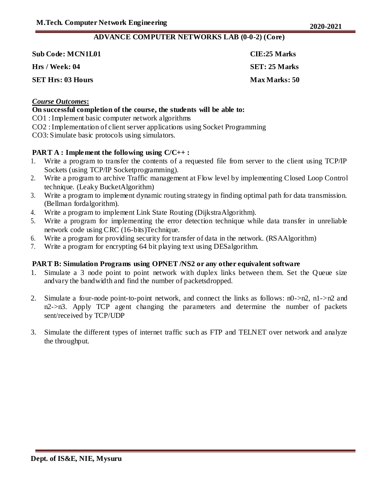#### **ADVANCE COMPUTER NETWORKS LAB (0-0-2) (Core)**

| <b>Sub Code: MCN1L01</b> | CIE:25 Marks          |
|--------------------------|-----------------------|
| Hrs / Week: 04           | <b>SET</b> : 25 Marks |
| <b>SET Hrs: 03 Hours</b> | <b>Max Marks: 50</b>  |

### *Course Outcomes***:**

#### **On successful completion of the course, the students will be able to:**

CO1 : Implement basic computer network algorithms

CO2 : Implementation of client server applications using Socket Programming

CO3: Simulate basic protocols using simulators.

#### **PART A : Implement the following using C/C++ :**

- 1. Write a program to transfer the contents of a requested file from server to the client using TCP/IP Sockets (using TCP/IP Socketprogramming).
- 2. Write a program to archive Traffic management at Flow level by implementing Closed Loop Control technique. (Leaky BucketAlgorithm)
- 3. Write a program to implement dynamic routing strategy in finding optimal path for data transmission. (Bellman fordalgorithm).
- 4. Write a program to implement Link State Routing (DijkstraAlgorithm).
- 5. Write a program for implementing the error detection technique while data transfer in unreliable network code using CRC (16-bits)Technique.
- 6. Write a program for providing security for transfer of data in the network. (RSAAlgorithm)
- 7. Write a program for encrypting 64 bit playing text using DESalgorithm.

#### **PART B: Simulation Programs using OPNET /NS2 or any other equivalent software**

- 1. Simulate a 3 node point to point network with duplex links between them. Set the Queue size andvary the bandwidth and find the number of packetsdropped.
- 2. Simulate a four-node point-to-point network, and connect the links as follows: n0->n2, n1->n2 and n2->n3. Apply TCP agent changing the parameters and determine the number of packets sent/received by TCP/UDP
- 3. Simulate the different types of internet traffic such as FTP and TELNET over network and analyze the throughput.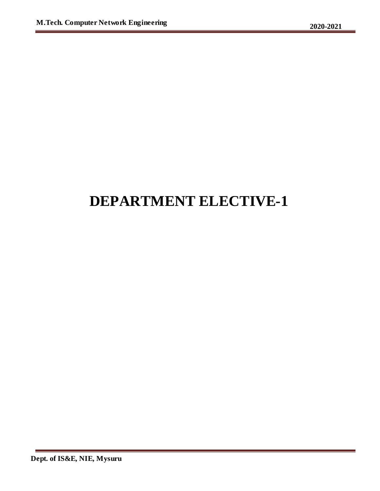## **DEPARTMENT ELECTIVE-1**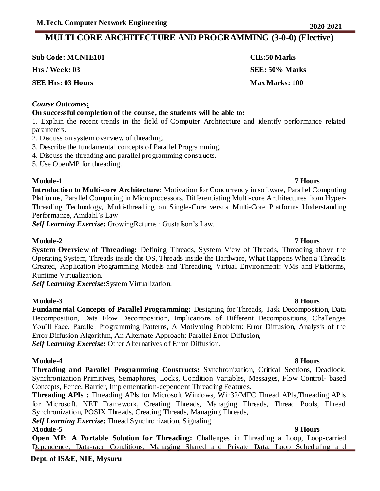### **MULTI CORE ARCHITECTURE AND PROGRAMMING (3-0-0) (Elective)**

| <b>Sub Code: MCN1E101</b> | <b>CIE:50 Marks</b> |
|---------------------------|---------------------|
| Hrs / Week: 03            | SEE: 50% Marks      |
| <b>SEE Hrs: 03 Hours</b>  | Max Marks: 100      |

#### *Course Outcomes***:**

### **On successful completion of the course, the students will be able to:**

1. Explain the recent trends in the field of Computer Architecture and identify performance related parameters.

- 2. Discuss on system overview of threading.
- 3. Describe the fundamental concepts of Parallel Programming.
- 4. Discuss the threading and parallel programming constructs.
- 5. Use OpenMP for threading.

#### **Module-1 7 Hours**

**Introduction to Multi-core Architecture:** Motivation for Concurrency in software, Parallel Computing Platforms, Parallel Computing in Microprocessors, Differentiating Multi-core Architectures from Hyper-Threading Technology, Multi-threading on Single-Core versus Multi-Core Platforms Understanding Performance, Amdahl's Law

*Self Learning Exercise***:** GrowingReturns : Gustafson's Law.

### **Module-2 7 Hours**

**System Overview of Threading:** Defining Threads, System View of Threads, Threading above the Operating System, Threads inside the OS, Threads inside the Hardware, What Happens When a ThreadIs Created, Application Programming Models and Threading, Virtual Environment: VMs and Platforms, Runtime Virtualization.

*Self Learning Exercise***:**System Virtualization.

### **Module-3 8 Hours**

**Fundamental Concepts of Parallel Programming:** Designing for Threads, Task Decomposition, Data Decomposition, Data Flow Decomposition, Implications of Different Decompositions, Challenges You'll Face, Parallel Programming Patterns, A Motivating Problem: Error Diffusion, Analysis of the Error Diffusion Algorithm, An Alternate Approach: Parallel Error Diffusion, *Self Learning Exercise***:** Other Alternatives of Error Diffusion.

#### **Module-4 8 Hours**

**Threading and Parallel Programming Constructs:** Synchronization, Critical Sections, Deadlock, Synchronization Primitives, Semaphores, Locks, Condition Variables, Messages, Flow Control- based Concepts, Fence, Barrier, Implementation-dependent Threading Features.

**Threading APIs :** Threading APls for Microsoft Windows, Win32/MFC Thread APls,Threading APls for Microsoft. NET Framework, Creating Threads, Managing Threads, Thread Pools, Thread Synchronization, POSIX Threads, Creating Threads, Managing Threads,

*Self Learning Exercise***:** Thread Synchronization, Signaling.

### **Module-5 9 Hours**

**Open MP: A Portable Solution for Threading:** Challenges in Threading a Loop, Loop-carried Dependence, Data-race Conditions, Managing Shared and Private Data, Loop Scheduling and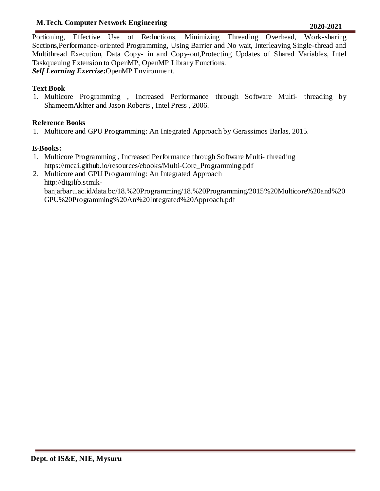### **M.Tech. Computer Network Engineering 2020-2021**

Portioning, Effective Use of Reductions, Minimizing Threading Overhead, Work-sharing Sections,Performance-oriented Programming, Using Barrier and No wait, Interleaving Single-thread and Multithread Execution, Data Copy- in and Copy-out,Protecting Updates of Shared Variables, Intel Taskqueuing Extension to OpenMP, OpenMP Library Functions. *Self Learning Exercise***:**OpenMP Environment.

### **Text Book**

1. Multicore Programming , Increased Performance through Software Multi- threading by ShameemAkhter and Jason Roberts , Intel Press , 2006.

### **Reference Books**

1. Multicore and GPU Programming: An Integrated Approach by Gerassimos Barlas, 2015.

### **E-Books:**

- 1. Multicore Programming , Increased Performance through Software Multi- threading https://mcai.github.io/resources/ebooks/Multi-Core\_Programming.pdf
- 2. Multicore and GPU Programming: An Integrated Approach http://digilib.stmikbanjarbaru.ac.id/data.bc/18.%20Programming/18.%20Programming/2015%20Multicore%20and%20 GPU%20Programming%20An%20Integrated%20Approach.pdf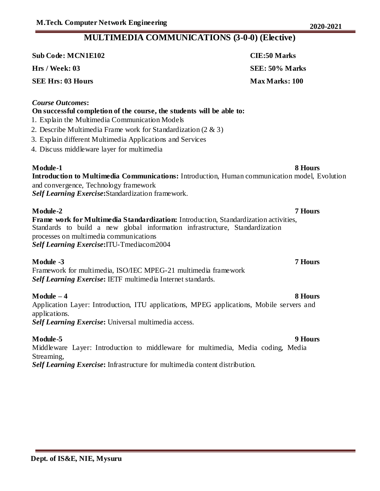### **MULTIMEDIA COMMUNICATIONS (3-0-0) (Elective)**

| <b>Sub Code: MCN1E102</b> | <b>CIE:50 Marks</b>   |
|---------------------------|-----------------------|
| Hrs / Week: 03            | SEE: 50% Marks        |
| <b>SEE Hrs: 03 Hours</b>  | <b>Max Marks: 100</b> |

#### *Course Outcomes***:**

### **On successful completion of the course, the students will be able to:**

- 1. Explain the Multimedia Communication Models
- 2. Describe Multimedia Frame work for Standardization (2 & 3)
- 3. Explain different Multimedia Applications and Services
- 4. Discuss middleware layer for multimedia

**Module-1** 8 Hours **Introduction to Multimedia Communications:** Introduction, Human communication model, Evolution and convergence, Technology framework *Self Learning Exercise***:**Standardization framework.

**Module-2 7 Hours Frame work for Multimedia Standardization:** Introduction, Standardization activities, Standards to build a new global information infrastructure, Standardization processes on multimedia communications *Self Learning Exercise***:**ITU-Tmediacom2004

#### **Module -3 7 Hours**

Framework for multimedia, ISO/IEC MPEG-21 multimedia framework *Self Learning Exercise***:** IETF multimedia Internet standards.

#### **Module – 4 8 Hours**

Application Layer: Introduction, ITU applications, MPEG applications, Mobile servers and applications.

*Self Learning Exercise***:** Universal multimedia access.

#### **Module-5 9 Hours** Middleware Layer: Introduction to middleware for multimedia, Media coding, Media Streaming, *Self Learning Exercise***:** Infrastructure for multimedia content distribution.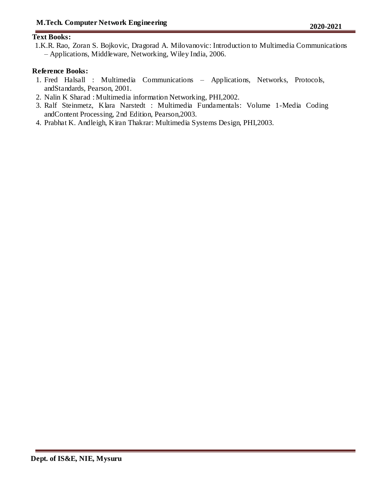#### **Text Books:**

1.K.R. Rao, Zoran S. Bojkovic, Dragorad A. Milovanovic: Introduction to Multimedia Communications – Applications, Middleware, Networking, Wiley India, 2006.

#### **Reference Books:**

- 1. Fred Halsall : Multimedia Communications Applications, Networks, Protocols, andStandards, Pearson, 2001.
- 2. Nalin K Sharad : Multimedia information Networking, PHI,2002.
- 3. Ralf Steinmetz, Klara Narstedt : Multimedia Fundamentals: Volume 1-Media Coding andContent Processing, 2nd Edition, Pearson,2003.
- 4. Prabhat K. Andleigh, Kiran Thakrar: Multimedia Systems Design, PHI,2003.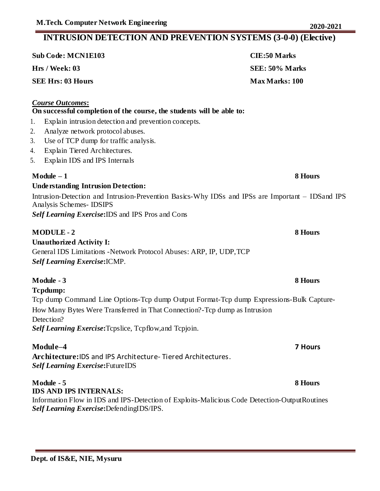### **Sub Code: MCN1E103 CIE:50 Marks Hrs / Week: 03 SEE: 50% Marks SEE Hrs: 03 Hours Max Marks: 100** *Course Outcomes***: On successful completion of the course, the students will be able to:**  1. Explain intrusion detection and prevention concepts. 2. Analyze network protocol abuses. 3. Use of TCP dump for traffic analysis. 4. Explain Tiered Architectures. 5. Explain IDS and IPS Internals **Module – 1 8 Hours Understanding Intrusion Detection:** Intrusion-Detection and Intrusion-Prevention Basics-Why IDSs and IPSs are Important – IDSand IPS Analysis Schemes- IDSIPS *Self Learning Exercise***:**IDS and IPS Pros and Cons **MODULE - 2 8 Hours Unauthorized Activity I:** General IDS Limitations -Network Protocol Abuses: ARP, IP, UDP,TCP *Self Learning Exercise***:**ICMP. **Module - 3 8 Hours Tcpdump:** Tcp dump Command Line Options-Tcp dump Output Format-Tcp dump Expressions-Bulk Capture-How Many Bytes Were Transferred in That Connection?-Tcp dump as Intrusion Detection? *Self Learning Exercise***:**Tcpslice, Tcpflow,and Tcpjoin. **Module–4 7 Hours Architecture:**IDS and IPS Architecture- Tiered Architectures. *Self Learning Exercise***:**FutureIDS **Module - 5 8 Hours IDS AND IPS INTERNALS:** Information Flow in IDS and IPS-Detection of Exploits-Malicious Code Detection-OutputRoutines *Self Learning Exercise***:**DefendingIDS/IPS.

**INTRUSION DETECTION AND PREVENTION SYSTEMS (3-0-0) (Elective)**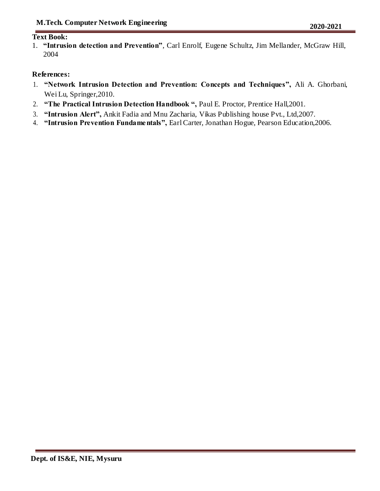#### **Text Book:**

1. **"Intrusion detection and Prevention"**, Carl Enrolf, Eugene Schultz, Jim Mellander, McGraw Hill, 2004

#### **References:**

- 1. **"Network Intrusion Detection and Prevention: Concepts and Techniques",** Ali A. Ghorbani, Wei Lu, Springer,2010.
- 2. **"The Practical Intrusion Detection Handbook ",** Paul E. Proctor, Prentice Hall,2001.
- 3. **"Intrusion Alert",** Ankit Fadia and Mnu Zacharia, Vikas Publishing house Pvt., Ltd,2007.
- 4. **"Intrusion Prevention Fundamentals",** Earl Carter, Jonathan Hogue, Pearson Education,2006.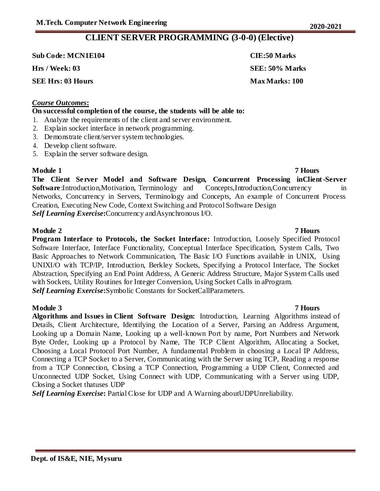### **CLIENT SERVER PROGRAMMING (3-0-0) (Elective)**

**Sub Code: MCN1E104 CIE:50 Marks**

**SEE Hrs: 03 Hours Max Marks: 100** 

#### *Course Outcomes***:**

#### **On successful completion of the course, the students will be able to:**

- 1. Analyze the requirements of the client and server environment.
- 2. Explain socket interface in network programming.
- 3. Demonstrate client/server system technologies.
- 4. Develop client software.
- 5. Explain the server software design.

**Module 1 7 Hours The Client Server Model and Software Design, Concurrent Processing inClient-Server Software** :Introduction,Motivation, Terminology and Concepts,Introduction,Concurrency in Networks, Concurrency in Servers, Terminology and Concepts, An example of Concurrent Process Creation, Executing New Code, Context Switching and Protocol Software Design *Self Learning Exercise***:**Concurrency andAsynchronous I/O.

### **Module 2 7 Hours**

**Program Interface to Protocols, the Socket Interface:** Introduction, Loosely Specified Protocol Software Interface, Interface Functionality, Conceptual Interface Specification, System Calls, Two Basic Approaches to Network Communication, The Basic I/O Functions available in UNIX, Using UNIXI/O with TCP/IP, Introduction, Berkley Sockets, Specifying a Protocol Interface, The Socket Abstraction, Specifying an End Point Address, A Generic Address Structure, Major System Calls used with Sockets, Utility Routines for Integer Conversion, Using Socket Calls in aProgram. *Self Learning Exercise***:**Symbolic Constants for SocketCallParameters.

**Module 3 7 Hours Algorithms and Issues in Client Software Design:** Introduction, Learning Algorithms instead of Details, Client Architecture, Identifying the Location of a Server, Parsing an Address Argument, Looking up a Domain Name, Looking up a well-known Port by name, Port Numbers and Network Byte Order, Looking up a Protocol by Name, The TCP Client Algorithm, Allocating a Socket, Choosing a Local Protocol Port Number, A fundamental Problem in choosing a Local IP Address, Connecting a TCP Socket to a Server, Communicating with the Server using TCP, Reading a response from a TCP Connection, Closing a TCP Connection, Programming a UDP Client, Connected and Unconnected UDP Socket, Using Connect with UDP, Communicating with a Server using UDP, Closing a Socket thatuses UDP

*Self Learning Exercise***:** Partial Close for UDP and A Warning aboutUDPUnreliability.

## **Hrs / Week: 03 SEE: 50% Marks**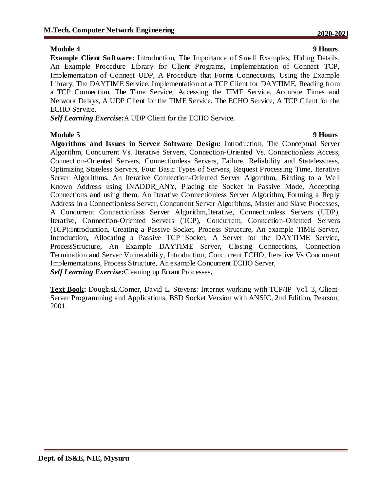#### **Module 4 9 Hours**

**Example Client Software:** Introduction, The Importance of Small Examples, Hiding Details, An Example Procedure Library for Client Programs, Implementation of Connect TCP, Implementation of Connect UDP, A Procedure that Forms Connections, Using the Example Library, The DAYTIME Service, Implementation of a TCP Client for DAYTIME, Reading from a TCP Connection, The Time Service, Accessing the TIME Service, Accurate Times and Network Delays, A UDP Client for the TIME Service, The ECHO Service, A TCP Client for the ECHO Service,

*Self Learning Exercise***:**A UDP Client for the ECHO Service.

**Module 5 9 Hours Algorithms and Issues in Server Software Design:** Introduction, The Conceptual Server Algorithm, Concurrent Vs. Iterative Servers, Connection-Oriented Vs. Connectionless Access, Connection-Oriented Servers, Connectionless Servers, Failure, Reliability and Statelessness, Optimizing Stateless Servers, Four Basic Types of Servers, Request Processing Time, Iterative Server Algorithms, An Iterative Connection-Oriented Server Algorithm, Binding to a Well Known Address using INADDR\_ANY, Placing the Socket in Passive Mode, Accepting Connections and using them. An Iterative Connectionless Server Algorithm, Forming a Reply Address in a Connectionless Server, Concurrent Server Algorithms, Master and Slave Processes, A Concurrent Connectionless Server Algorithm,Iterative, Connectionless Servers (UDP), Iterative, Connection-Oriented Servers (TCP), Concurrent, Connection-Oriented Servers (TCP):Introduction, Creating a Passive Socket, Process Structure, An example TIME Server, Introduction, Allocating a Passive TCP Socket, A Server for the DAYTIME Service, ProcessStructure, An Example DAYTIME Server, Closing Connections, Connection Termination and Server Vulnerability, Introduction, Concurrent ECHO, Iterative Vs Concurrent Implementations, Process Structure, An example Concurrent ECHO Server, *Self Learning Exercise***:**Cleaning up Errant Processes**.**

**Text Book:** DouglasE.Comer, David L. Stevens: Internet working with TCP/IP–Vol. 3, Client-Server Programming and Applications, BSD Socket Version with ANSIC, 2nd Edition, Pearson, 2001.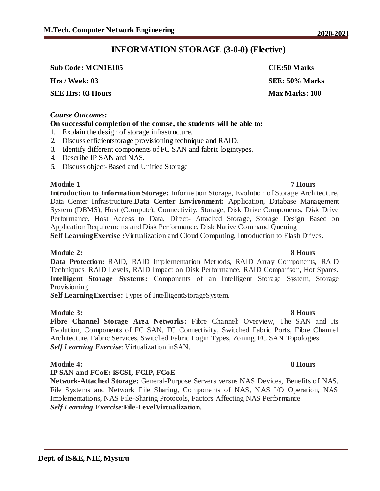**Dept. of IS&E, NIE, Mysuru**

### **INFORMATION STORAGE (3-0-0) (Elective)**

**Sub Code: MCN1E105 CIE:50 Marks**

**SEE Hrs: 03 Hours Max Marks: 100** 

#### *Course Outcomes***:**

#### **On successful completion of the course, the students will be able to:**

- 1. Explain the design of storage infrastructure.
- 2. Discuss efficientstorage provisioning technique and RAID.
- 3. Identify different components of FC SAN and fabric logintypes.
- 4. Describe IP SAN and NAS.
- 5. Discuss object-Based and Unified Storage

#### **Module 1 7 Hours**

**Introduction to Information Storage:** Information Storage, Evolution of Storage Architecture, Data Center Infrastructure.**Data Center Environment:** Application, Database Management System (DBMS), Host (Compute), Connectivity, Storage, Disk Drive Components, Disk Drive Performance, Host Access to Data, Direct- Attached Storage, Storage Design Based on Application Requirements and Disk Performance, Disk Native Command Queuing **Self LearningExercise :**Virtualization and Cloud Computing, Introduction to Flash Drives.

#### **Module 2: 8 Hours**

**Data Protection:** RAID, RAID Implementation Methods, RAID Array Components, RAID Techniques, RAID Levels, RAID Impact on Disk Performance, RAID Comparison, Hot Spares. **Intelligent Storage Systems:** Components of an Intelligent Storage System, Storage Provisioning

**Self LearningExercise:** Types of IntelligentStorageSystem.

#### **Module 3: 8 Hours**

**Fibre Channel Storage Area Networks:** Fibre Channel: Overview, The SAN and Its Evolution, Components of FC SAN, FC Connectivity, Switched Fabric Ports, Fibre Channe l Architecture, Fabric Services, Switched Fabric Login Types, Zoning, FC SAN Topologies *Self Learning Exercise*: Virtualization inSAN.

#### **Module 4: 8 Hours**

#### **IP SAN and FCoE: iSCSI, FCIP, FCoE**

**Network-Attached Storage:** General-Purpose Servers versus NAS Devices, Benefits of NAS, File Systems and Network File Sharing, Components of NAS, NAS I/O Operation, NAS Implementations, NAS File-Sharing Protocols, Factors Affecting NAS Performance *Self Learning Exercise***:File-LevelVirtualization.**

# **Hrs / Week: 03 SEE: 50% Marks**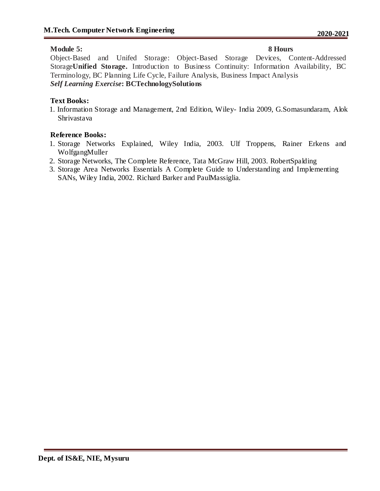### **Module 5: 8 Hours**

Object-Based and Unifed Storage: Object-Based Storage Devices, Content-Addressed Storage**Unified Storage.** Introduction to Business Continuity: Information Availability, BC Terminology, BC Planning Life Cycle, Failure Analysis, Business Impact Analysis *Self Learning Exercise***: BCTechnologySolutions**

#### **Text Books:**

1. Information Storage and Management, 2nd Edition, Wiley- India 2009, G.Somasundaram, Alok Shrivastava

#### **Reference Books:**

- 1. Storage Networks Explained, Wiley India, 2003. Ulf Troppens, Rainer Erkens and WolfgangMuller
- 2. Storage Networks, The Complete Reference, Tata McGraw Hill, 2003. RobertSpalding
- 3. Storage Area Networks Essentials A Complete Guide to Understanding and Implementing SANs, Wiley India, 2002. Richard Barker and PaulMassiglia.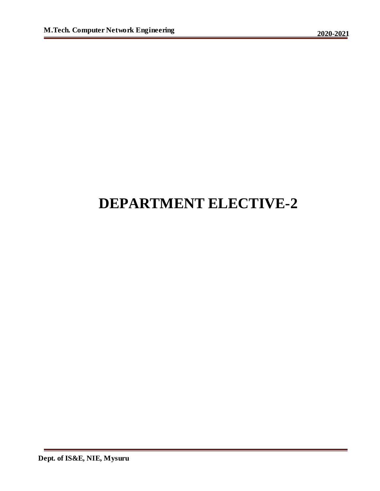## **DEPARTMENT ELECTIVE-2**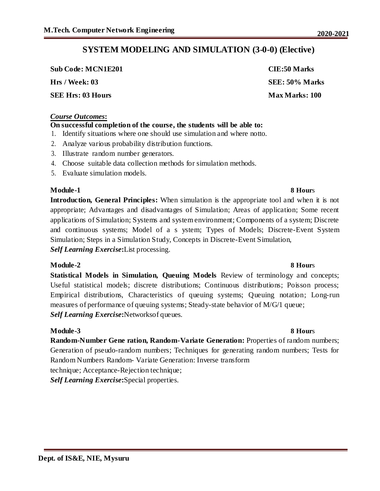**Sub Code: MCN1E201 CIE:50 Marks**

**SEE Hrs: 03 Hours Max Marks: 100** 

#### *Course Outcomes***:**

### **On successful completion of the course, the students will be able to:**

- 1. Identify situations where one should use simulation and where notto.
- 2. Analyze various probability distribution functions.
- 3. Illustrate random number generators.
- 4. Choose suitable data collection methods for simulation methods.
- 5. Evaluate simulation models.

### **Module-1 8 Hour**s

**Introduction, General Principles:** When simulation is the appropriate tool and when it is not appropriate; Advantages and disadvantages of Simulation; Areas of application; Some recent applications of Simulation; Systems and system environment; Components of a system; Discrete and continuous systems; Model of a s ystem; Types of Models; Discrete-Event System Simulation; Steps in a Simulation Study, Concepts in Discrete-Event Simulation, *Self Learning Exercise***:**List processing.

### **Module-2 8 Hour**s

**Statistical Models in Simulation, Queuing Models** Review of terminology and concepts; Useful statistical models; discrete distributions; Continuous distributions; Poisson process; Empirical distributions, Characteristics of queuing systems; Queuing notation; Long-run measures of performance of queuing systems; Steady-state behavior of M/G/1 queue; *Self Learning Exercise***:**Networksof queues.

### **Module-3 8 Hour**s

**Random-Number Gene ration, Random-Variate Generation:** Properties of random numbers; Generation of pseudo-random numbers; Techniques for generating random numbers; Tests for Random Numbers Random- Variate Generation: Inverse transform technique; Acceptance-Rejection technique;

*Self Learning Exercise***:**Special properties.

# **Hrs / Week: 03 SEE: 50% Marks**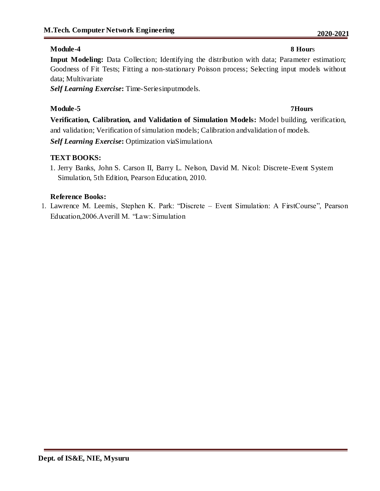### **Module-4 8 Hour**s

**Input Modeling:** Data Collection; Identifying the distribution with data; Parameter estimation; Goodness of Fit Tests; Fitting a non-stationary Poisson process; Selecting input models without data; Multivariate

*Self Learning Exercise***:** Time-Seriesinputmodels.

### **Module-5 7Hours**

**Verification, Calibration, and Validation of Simulation Models:** Model building, verification, and validation; Verification of simulation models; Calibration andvalidation of models.

*Self Learning Exercise***:** Optimization viaSimulationA

### **TEXT BOOKS:**

1. Jerry Banks, John S. Carson II, Barry L. Nelson, David M. Nicol: Discrete-Event System Simulation, 5th Edition, Pearson Education, 2010.

### **Reference Books:**

1. Lawrence M. Leemis, Stephen K. Park: "Discrete – Event Simulation: A FirstCourse", Pearson Education,2006.Averill M. "Law: Simulation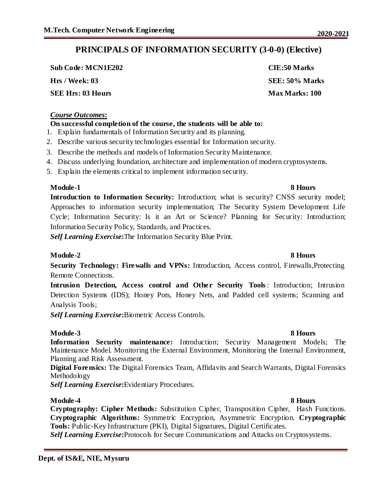**Sub Code: MCN1E202 CIE:50 Marks**

**SEE Hrs: 03 Hours Max Marks: 100** 

#### *Course Outcomes***:**

### **On successful completion of the course, the students will be able to:**

- 1. Explain fundamentals of Information Security and its planning.
- 2. Describe various security technologies essential for Information security.
- 3. Describe the methods and models of Information Security Maintenance.
- 4. Discuss underlying foundation, architecture and implementation of modern cryptosystems.
- 5. Explain the elements critical to implement information security.

### **Module-1 8 Hours**

**Introduction to Information Security:** Introduction; what is security? CNSS security model; Approaches to information security implementation; The Security System Development Life Cycle; Information Security: Is it an Art or Science? Planning for Security: Introduction; Information Security Policy, Standards, and Practices.

*Self Learning Exercise***:**The Information Security Blue Print.

### **Module-2 8 Hours**

**Security Technology: Firewalls and VPNs:** Introduction, Access control, Firewalls,Protecting Remote Connections.

**Intrusion Detection, Access control and Other Security Tools**: Introduction; Intrusion Detection Systems (IDS); Honey Pots, Honey Nets, and Padded cell systems; Scanning and Analysis Tools;

*Self Learning Exercise***:**Biometric Access Controls.

### **Module-3 8 Hours**

**Information Security maintenance:** Introduction; Security Management Models; The Maintenance Model. Monitoring the External Environment, Monitoring the Internal Environment, Planning and Risk Assessment.

**Digital Forensics:** The Digital Forensics Team, Affidavits and Search Warrants, Digital Forensics Methodology

*Self Learning Exercise***:**Evidentiary Procedures.

### **Module-4 8 Hours**

**Cryptography: Cipher Methods:** Substitution Cipher, Transposition Cipher, Hash Functions. **Cryptographic Algorithms:** Symmetric Encryption, Asymmetric Encryption. **Cryptographic Tools:** Public-Key Infrastructure (PKI), Digital Signatures, Digital Certificates.

*Self Learning Exercise***:**Protocols for Secure Communications and Attacks on Cryptosystems.

#### **Dept. of IS&E, NIE, Mysuru**

## **Hrs / Week: 03 SEE: 50% Marks**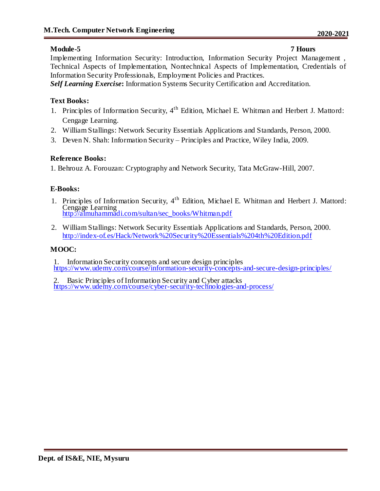### **Module-5 7 Hours**

Implementing Information Security: Introduction, Information Security Project Management , Technical Aspects of Implementation, Nontechnical Aspects of Implementation, Credentials of Information Security Professionals, Employment Policies and Practices.

*Self Learning Exercise***:** Information Systems Security Certification and Accreditation.

### **Text Books:**

- 1. Principles of Information Security, 4<sup>th</sup> Edition, Michael E. Whitman and Herbert J. Mattord: Cengage Learning.
- 2. William Stallings: Network Security Essentials Applications and Standards, Person, 2000.
- 3. Deven N. Shah: Information Security Principles and Practice, Wiley India, 2009.

### **Reference Books:**

1. Behrouz A. Forouzan: Cryptography and Network Security, Tata McGraw-Hill, 2007.

### **E-Books:**

- 1. Principles of Information Security, 4<sup>th</sup> Edition, Michael E. Whitman and Herbert J. Mattord: Cengage Learning http://almuhammadi.com/sultan/sec\_books/Whitman.pdf
- 2. William Stallings: Network Security Essentials Applications and Standards, Person, 2000. http://index-of.es/Hack/Network%20Security%20Essentials%204th%20Edition.pdf

### **MOOC:**

1. Information Security concepts and secure design principles https://www.udemy.com/course/information-security-concepts-and-secure-design-principles/

Basic Principles of Information Security and Cyber attacks https://www.udemy.com/course/cyber-security-technologies-and-process/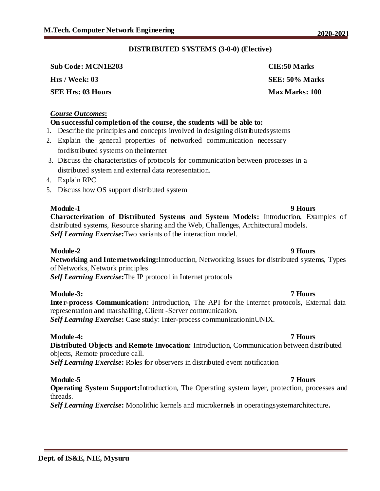#### **DISTRIBUTED SYSTEMS (3-0-0) (Elective)**

| <b>Sub Code: MCN1E203</b> | <b>CIE:50 Marks</b>   |
|---------------------------|-----------------------|
| Hrs / Week: 03            | SEE: 50% Marks        |
| SEE Hrs: 03 Hours         | <b>Max Marks: 100</b> |

#### *Course Outcomes***:**

### **On successful completion of the course, the students will be able to:**

- 1. Describe the principles and concepts involved in designing distributedsystems
- 2. Explain the general properties of networked communication necessary fordistributed systems on theInternet
- 3. Discuss the characteristics of protocols for communication between processes in a distributed system and external data representation.
- 4. Explain RPC
- 5. Discuss how OS support distributed system

**Module-1 9 Hours Characterization of Distributed Systems and System Models:** Introduction, Examples of distributed systems, Resource sharing and the Web, Challenges, Architectural models. *Self Learning Exercise***:**Two variants of the interaction model.

#### **Module-2 9 Hours**

**Networking and Internetworking:**Introduction, Networking issues for distributed systems, Types of Networks, Network principles *Self Learning Exercise***:**The IP protocol in Internet protocols

#### **Module-3: 7 Hours**

**Inter-process Communication:** Introduction, The API for the Internet protocols, External data representation and marshalling, Client -Server communication. *Self Learning Exercise***:** Case study: Inter-process communicationinUNIX.

#### **Module-4: 7 Hours**

**Distributed Objects and Remote Invocation:** Introduction, Communication between distributed objects, Remote procedure call.

*Self Learning Exercise***:** Roles for observers in distributed event notification

#### **Module-5 7 Hours**

**Operating System Support:**Introduction, The Operating system layer, protection, processes and threads.

*Self Learning Exercise***:** Monolithic kernels and microkernels in operatingsystemarchitecture**.**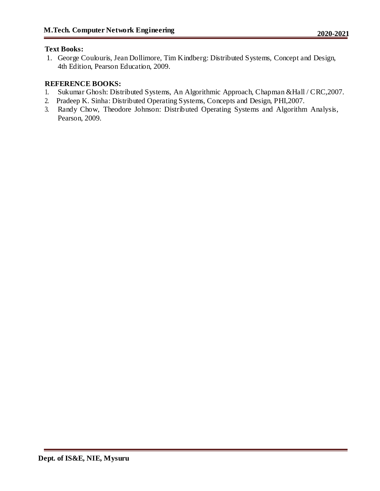### **Text Books:**

1. George Coulouris, Jean Dollimore, Tim Kindberg: Distributed Systems, Concept and Design, 4th Edition, Pearson Education, 2009.

### **REFERENCE BOOKS:**

- 1. Sukumar Ghosh: Distributed Systems, An Algorithmic Approach, Chapman &Hall / CRC,2007.
- 2. Pradeep K. Sinha: Distributed Operating Systems, Concepts and Design, PHI,2007.
- 3. Randy Chow, Theodore Johnson: Distributed Operating Systems and Algorithm Analysis, Pearson, 2009.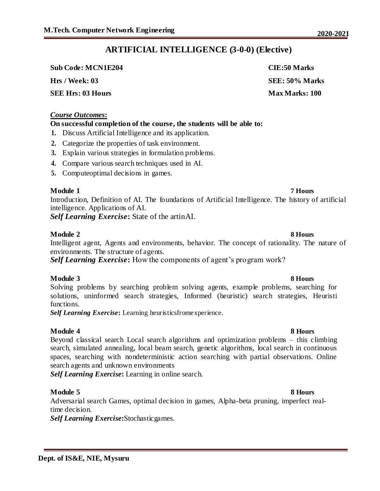# **ARTIFICIAL INTELLIGENCE (3-0-0) (Elective)**

 $Sub Code: MCN1E204$ 

**Hrs** / Week: 03

**SEE Hrs: 03 Hours** 

#### *Course Outcomes***:**

#### **On successful completion of the course, the students will be able to:**

- **1.** Discuss Artificial Intelligence and its application.
- **2.** Categorize the properties of task environment.
- **3.** Explain various strategies in formulation problems.
- **4.** Compare various search techniques used in AI.
- **5.** Computeoptimal decisions in games.

#### **Module 1 7 Hours**

Introduction, Definition of AI. The foundations of Artificial Intelligence. The history of artificial intelligence. Applications of AI.

*Self Learning Exercise***:** State of the artinAI.

### **Module 2 8 Hours** Intelligent agent, Agents and environments, behavior. The concept of rationality. The nature of environments. The structure of agents.

*Self Learning Exercise***:** How the components of agent's program work?

#### **Module 3 8 Hours**

Solving problems by searching problem solving agents, example problems, searching for solutions, uninformed search strategies, Informed (heuristic) search strategies, Heuristi functions.

*Self Learning Exercise***:** Learning heuristicsfromexperience.

#### **Module 4 8 Hours**

Beyond classical search Local search algorithms and optimization problems – this climbing search, simulated annealing, local beam search, genetic algorithms, local search in continuous spaces, searching with nondeterministic action searching with partial observations. Online search agents and unknown environments

*Self Learning Exercise***:** Learning in online search.

### **Module 5 8 Hours**

Adversarial search Games, optimal decision in games, Alpha-beta pruning, imperfect realtime decision.

*Self Learning Exercise***:**Stochasticgames.

# **Dept. of IS&E, NIE, Mysuru**

| CIE:50 Marks          |  |
|-----------------------|--|
| SEE: 50% Marks        |  |
| <b>Max Marks: 100</b> |  |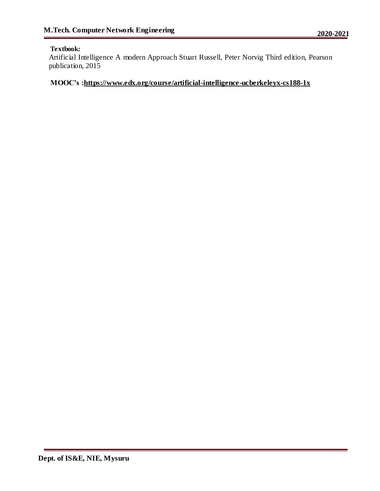#### **Textbook:**

Artificial Intelligence A modern Approach Stuart Russell, Peter Norvig Third edition, Pearson publication, 2015

### **MOOC's :https://www.edx.org/course/artificial-intelligence-ucberkeleyx-cs188-1x**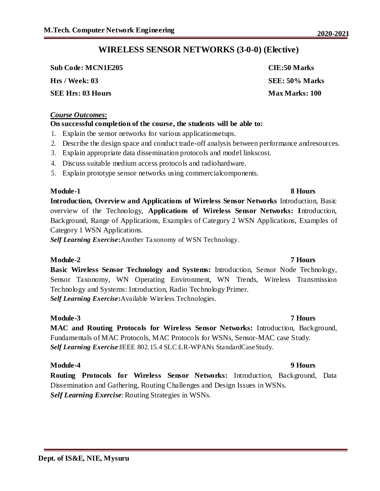# **WIRELESS SENSOR NETWORKS (3-0-0) (Elective)**

**Sub Code: MCN1E205 CIE:50 Marks**

**SEE Hrs: 03 Hours Max Marks: 100** 

#### *Course Outcomes***:**

#### **On successful completion of the course, the students will be able to:**

- 1. Explain the sensor networks for various applicationsetups.
- 2. Describe the design space and conduct trade-off analysis between performance andresources.
- 3. Explain appropriate data dissemination protocols and model linkscost.
- 4. Discuss suitable medium access protocols and radiohardware.
- 5. Explain prototype sensor networks using commercialcomponents.

### **Module-1 8 Hours**

**Introduction, Overview and Applications of Wireless Sensor Networks** Introduction, Basic overview of the Technology, **Applications of Wireless Sensor Networks: I**ntroduction, Background, Range of Applications, Examples of Category 2 WSN Applications, Examples of Category 1 WSN Applications.

*Self Learning Exercise***:**Another Taxonomy of WSN Technology.

### **Module-2 7 Hours**

**Basic Wireless Sensor Technology and Systems:** Introduction, Sensor Node Technology, Sensor Taxonomy, WN Operating Environment, WN Trends, Wireless Transmission Technology and Systems: Introduction, Radio Technology Primer. *Self Learning Exercise***:**Available Wireless Technologies.

### **Module-3 7 Hours**

**MAC and Routing Protocols for Wireless Sensor Networks:** Introduction, Background, Fundamentals of MAC Protocols, MAC Protocols for WSNs, Sensor-MAC case Study. *Self Learning Exercise*:IEEE 802.15.4 SLC:LR-WPANs StandardCaseStudy.

### **Module-4 9 Hours**

**Routing Protocols for Wireless Sensor Networks:** Introduction, Background, Data Dissemination and Gathering, Routing Challenges and Design Issues in WSNs. *Self Learning Exercise*: Routing Strategies in WSNs.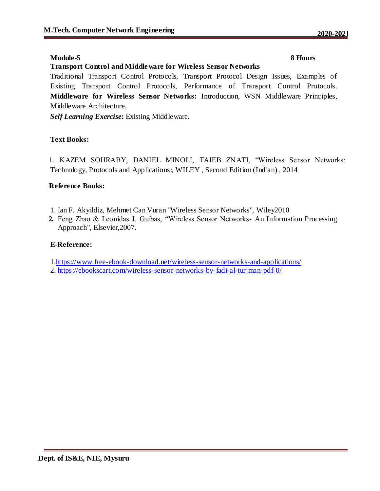### **Module-5 8 Hours**

#### **Transport Control and Middleware for Wireless Sensor Networks**

Traditional Transport Control Protocols, Transport Protocol Design Issues, Examples of Existing Transport Control Protocols, Performance of Transport Control Protocols. **Middleware for Wireless Sensor Networks:** Introduction, WSN Middleware Principles, Middleware Architecture.

*Self Learning Exercise***:** Existing Middleware.

### **Text Books:**

1. KAZEM SOHRABY, DANIEL MINOLI, TAIEB ZNATI, "Wireless Sensor Networks: Technology, Protocols and Applications:, WILEY , Second Edition (Indian) , 2014

#### **Reference Books:**

- 1. Ian F. Akyildiz, Mehmet Can Vuran "Wireless Sensor Networks", Wiley2010
- **2.** Feng Zhao & Leonidas J. Guibas, "Wireless Sensor Networks- An Information Processing Approach", Elsevier,2007.

### **E-Reference:**

1.https://www.free-ebook-download.net/wireless-sensor-networks-and-applications/

2. https://ebookscart.com/wireless-sensor-networks-by-fadi-al-turjman-pdf-0/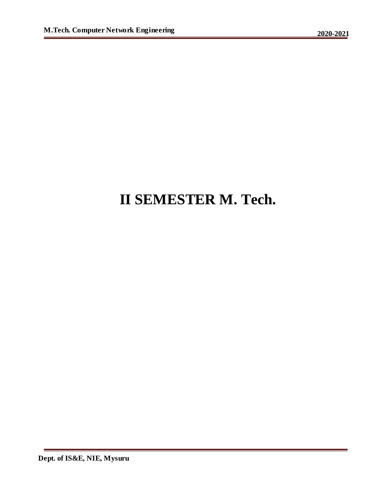# **II SEMESTER M. Tech.**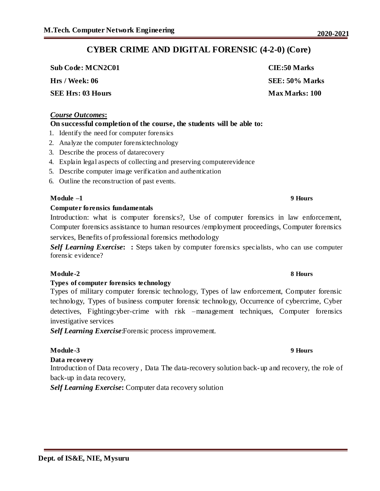# **CYBER CRIME AND DIGITAL FORENSIC (4-2-0) (Core)**

**Sub Code: MCN2C01 CIE:50 Marks Hrs / Week: 06 SEE: 50% Marks**

**SEE Hrs: 03 Hours Max Marks: 100** 

#### *Course Outcomes***:**

#### **On successful completion of the course, the students will be able to:**

- 1. Identify the need for computer forensics
- 2. Analyze the computer forensictechnology
- 3. Describe the process of datarecovery
- 4. Explain legal aspects of collecting and preserving computerevidence
- 5. Describe computer image verification and authentication
- 6. Outline the reconstruction of past events.

#### **Module –1 9 Hours**

#### **Computer forensics fundamentals**

Introduction: what is computer forensics?, Use of computer forensics in law enforcement, Computer forensics assistance to human resources /employment proceedings, Computer forensics services, Benefits of professional forensics methodology

*Self Learning Exercise***: :** Steps taken by computer forensics specialists, who can use computer forensic evidence?

#### **Module-2 8 Hours**

#### **Types of computer forensics technology**

Types of military computer forensic technology, Types of law enforcement, Computer forensic technology, Types of business computer forensic technology, Occurrence of cybercrime, Cyber detectives, Fightingcyber-crime with risk –management techniques, Computer forensics investigative services

*Self Learning Exercise*:Forensic process improvement.

#### **Module-3 9 Hours**

#### **Data recovery**

Introduction of Data recovery , Data The data-recovery solution back-up and recovery, the role of back-up in data recovery,

*Self Learning Exercise***:** Computer data recovery solution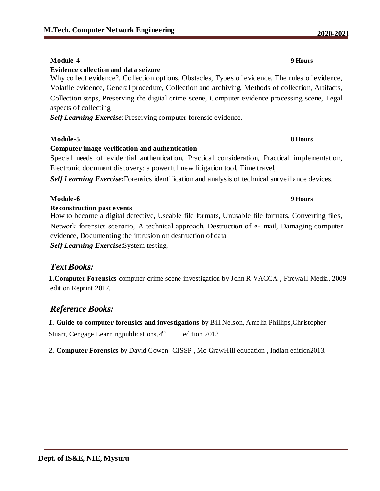# **Module-4 9 Hours**

## **Evidence collection and data seizure**

Why collect evidence?, Collection options, Obstacles, Types of evidence, The rules of evidence, Volatile evidence, General procedure, Collection and archiving, Methods of collection, Artifacts, Collection steps, Preserving the digital crime scene, Computer evidence processing scene, Legal aspects of collecting

*Self Learning Exercise*: Preserving computer forensic evidence.

### **Module-5 8 Hours**

# **Computer image verification and authentication**

Special needs of evidential authentication, Practical consideration, Practical implementation, Electronic document discovery: a powerful new litigation tool, Time travel,

*Self Learning Exercise***:**Forensics identification and analysis of technical surveillance devices.

### **Module-6 9 Hours**

### **Reconstruction past events**

How to become a digital detective, Useable file formats, Unusable file formats, Converting files, Network forensics scenario, A technical approach, Destruction of e- mail, Damaging computer evidence, Documenting the intrusion on destruction of data *Self Learning Exercise*:System testing.

# *Text Books:*

**1.Computer Forensics** computer crime scene investigation by John R VACCA , Firewall Media, 2009 edition Reprint 2017.

# *Reference Books:*

*1.* **Guide to computer forensics and investigations** by Bill Nelson, Amelia Phillips,Christopher Stuart, Cengage Learningpublications,4 edition 2013.

*2.* **Computer Forensics** by David Cowen -CISSP , Mc GrawHill education , Indian edition2013.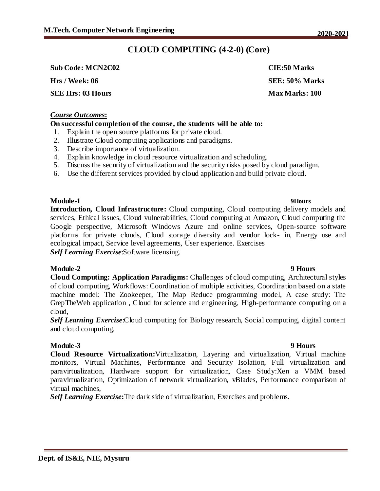# **CLOUD COMPUTING (4-2-0) (Core)**

**Sub Code: MCN2C02 CIE:50 Marks**

**Hrs / Week: 06 SEE: 50% Marks**

**SEE Hrs: 03 Hours Max Marks: 100** 

#### *Course Outcomes***:**

### **On successful completion of the course, the students will be able to:**

- 1. Explain the open source platforms for private cloud.
- 2. Illustrate Cloud computing applications and paradigms.
- 3. Describe importance of virtualization.
- 4. Explain knowledge in cloud resource virtualization and scheduling.
- 5. Discuss the security of virtualization and the security risks posed by cloud paradigm.
- 6. Use the different services provided by cloud application and build private cloud.

### **Module-1 9Hours**

**Introduction, Cloud Infrastructure:** Cloud computing, Cloud computing delivery models and services, Ethical issues, Cloud vulnerabilities, Cloud computing at Amazon, Cloud computing the Google perspective, Microsoft Windows Azure and online services, Open-source software platforms for private clouds, Cloud storage diversity and vendor lock- in, Energy use and ecological impact, Service level agreements, User experience. Exercises

*Self Learning Exercise*:Software licensing.

### **Module-2 9 Hours**

**Cloud Computing: Application Paradigms:** Challenges of cloud computing, Architectural styles of cloud computing, Workflows: Coordination of multiple activities, Coordination based on a state machine model: The Zookeeper, The Map Reduce programming model, A case study: The GrepTheWeb application , Cloud for science and engineering, High-performance computing on a cloud,

*Self Learning Exercise*:Cloud computing for Biology research, Social computing, digital content and cloud computing.

**Module-3 9 Hours Cloud Resource Virtualization:**Virtualization, Layering and virtualization, Virtual machine monitors, Virtual Machines, Performance and Security Isolation, Full virtualization and paravirtualization, Hardware support for virtualization, Case Study:Xen a VMM based paravirtualization, Optimization of network virtualization, vBlades, Performance comparison of virtual machines,

*Self Learning Exercise***:**The dark side of virtualization, Exercises and problems.

### **Dept. of IS&E, NIE, Mysuru**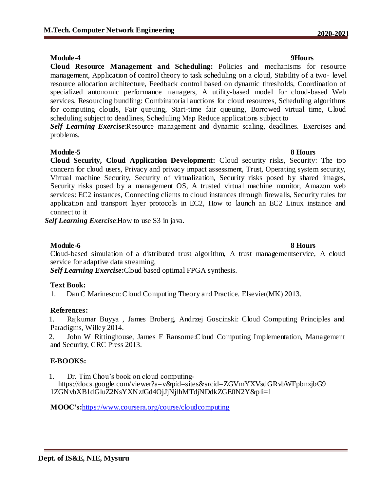#### **Module-4 9Hours**

**Cloud Resource Management and Scheduling:** Policies and mechanisms for resource management, Application of control theory to task scheduling on a cloud, Stability of a two- level resource allocation architecture, Feedback control based on dynamic thresholds, Coordination of specialized autonomic performance managers, A utility-based model for cloud-based Web services, Resourcing bundling: Combinatorial auctions for cloud resources, Scheduling algorithms for computing clouds, Fair queuing, Start-time fair queuing, Borrowed virtual time, Cloud scheduling subject to deadlines, Scheduling Map Reduce applications subject to **Self Learning Exercise:**Resource management and dynamic scaling, deadlines. Exercises and

problems.

### **Module-5 8 Hours**

**Cloud Security, Cloud Application Development:** Cloud security risks, Security: The top concern for cloud users, Privacy and privacy impact assessment, Trust, Operating system security, Virtual machine Security, Security of virtualization, Security risks posed by shared images, Security risks posed by a management OS, A trusted virtual machine monitor, Amazon web services: EC2 instances, Connecting clients to cloud instances through firewalls, Security rules for application and transport layer protocols in EC2, How to launch an EC2 Linux instance and connect to it

*Self Learning Exercise*:How to use S3 in java.

### **Module-6 8 Hours**

Cloud-based simulation of a distributed trust algorithm, A trust managementservice, A cloud service for adaptive data streaming,

*Self Learning Exercise***:**Cloud based optimal FPGA synthesis.

#### **Text Book:**

1. Dan C Marinescu: Cloud Computing Theory and Practice. Elsevier(MK) 2013.

#### **References:**

1. Rajkumar Buyya , James Broberg, Andrzej Goscinski: Cloud Computing Principles and Paradigms, Willey 2014.

2. John W Rittinghouse, James F Ransome:Cloud Computing Implementation, Management and Security, CRC Press 2013.

#### **E-BOOKS:**

1. Dr. Tim Chou's book on cloud computing-

 https://docs.google.com/viewer?a=v&pid=sites&srcid=ZGVmYXVsdGRvbWFpbnxjbG9 1ZGNvbXB1dGluZ2NsYXNzfGd4OjJjNjlhMTdjNDdkZGE0N2Y&pli=1

**MOOC's:**https://www.coursera.org/course/cloudcomputing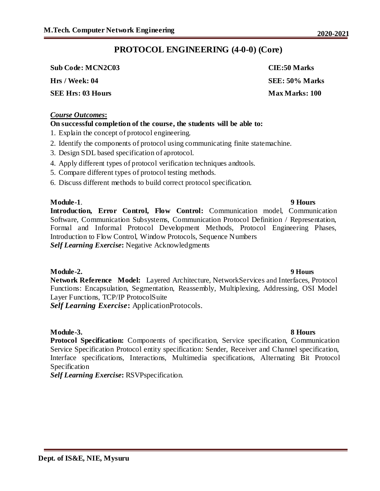# **PROTOCOL ENGINEERING (4-0-0) (Core)**

**Sub Code: MCN2C03 CIE:50 Marks**

**SEE Hrs: 03 Hours Max Marks: 100** 

### *Course Outcomes***:**

### **On successful completion of the course, the students will be able to:**

- 1. Explain the concept of protocol engineering.
- 2. Identify the components of protocol using communicating finite statemachine.
- 3. Design SDL based specification of aprotocol.
- 4. Apply different types of protocol verification techniques andtools.
- 5. Compare different types of protocol testing methods.
- 6. Discuss different methods to build correct protocol specification.

**Module-1**. **9 Hours Introduction, Error Control, Flow Control:** Communication model, Communication Software, Communication Subsystems, Communication Protocol Definition / Representation, Formal and Informal Protocol Development Methods, Protocol Engineering Phases, Introduction to Flow Control, Window Protocols, Sequence Numbers *Self Learning Exercise***:** Negative Acknowledgments

### **Module-2. 9 Hours**

**Network Reference Model:** Layered Architecture, NetworkServices and Interfaces, Protocol Functions: Encapsulation, Segmentation, Reassembly, Multiplexing, Addressing, OSI Model Layer Functions, TCP/IP ProtocolSuite *Self Learning Exercise***:** ApplicationProtocols.

#### **Module-3. 8 Hours**

**Protocol Specification:** Components of specification, Service specification, Communication Service Specification Protocol entity specification: Sender, Receiver and Channel specification, Interface specifications, Interactions, Multimedia specifications, Alternating Bit Protocol Specification

*Self Learning Exercise***:** RSVPspecification.

**Hrs / Week: 04 SEE: 50% Marks**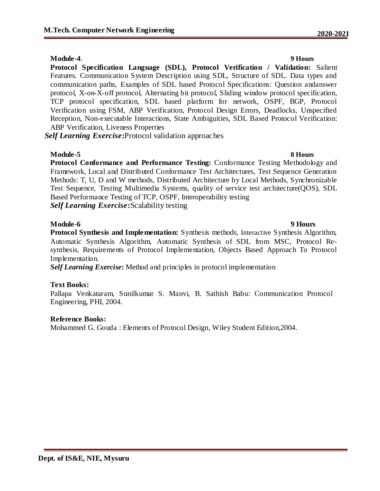#### **Module-4**. **9 Hours**

**Protocol Specification Language (SDL), Protocol Verification / Validation:** Salient Features. Communication System Description using SDL, Structure of SDL. Data types and communication paths, Examples of SDL based Protocol Specifications: Question andanswer protocol, X-on-X-off protocol, Alternating bit protocol, Sliding window protocol specification, TCP protocol specification, SDL based platform for network, OSPF, BGP, Protocol Verification using FSM, ABP Verification, Protocol Design Errors, Deadlocks, Unspecified Reception, Non-executable Interactions, State Ambiguities, SDL Based Protocol Verification: ABP Verification, Liveness Properties

*Self Learning Exercise***:**Protocol validation approaches

#### **Module-5 8 Hours**

**Protocol Conformance and Performance Testing:** Conformance Testing Methodology and Framework, Local and Distributed Conformance Test Architectures, Test Sequence Generation Methods: T, U, D and W methods, Distributed Architecture by Local Methods, Synchronizable Test Sequence, Testing Multimedia Systems, quality of service test architecture(QOS), SDL Based Performance Testing of TCP, OSPF, Interoperability testing *Self Learning Exercise***:**Scalability testing

**Module-6 9 Hours Protocol Synthesis and Implementation:** Synthesis methods, Interactive Synthesis Algorithm, Automatic Synthesis Algorithm, Automatic Synthesis of SDL from MSC, Protocol Resynthesis, Requirements of Protocol Implementation, Objects Based Approach To Protocol Implementation.

*Self Learning Exercise***:** Method and principles in protocol implementation

### **Text Books:**

Pallapa Venkataram, Sunilkumar S. Manvi, B. Sathish Babu: Communication Protocol Engineering, PHI, 2004.

#### **Reference Books:**

Mohammed G. Gouda : Elements of Protocol Design, Wiley Student Edition,2004.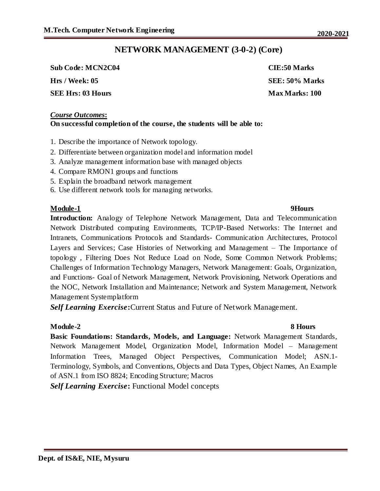# **NETWORK MANAGEMENT (3-0-2) (Core)**

**Sub Code: MCN2C04 CIE:50 Marks Hrs / Week: 05 SEE: 50% Marks**

**SEE Hrs: 03 Hours Max Marks: 100** 

#### *Course Outcomes***: On successful completion of the course, the students will be able to:**

- 1. Describe the importance of Network topology.
- 2. Differentiate between organization model and information model
- 3. Analyze management information base with managed objects
- 4. Compare RMON1 groups and functions
- 5. Explain the broadband network management
- 6. Use different network tools for managing networks.

### **Module-1 9Hours**

**Introduction:** Analogy of Telephone Network Management, Data and Telecommunication Network Distributed computing Environments, TCP/IP-Based Networks: The Internet and Intranets, Communications Protocols and Standards- Communication Architectures, Protocol Layers and Services; Case Histories of Networking and Management – The Importance of topology , Filtering Does Not Reduce Load on Node, Some Common Network Problems; Challenges of Information Technology Managers, Network Management: Goals, Organization, and Functions- Goal of Network Management, Network Provisioning, Network Operations and the NOC, Network Installation and Maintenance; Network and System Management, Network Management Systemplatform

*Self Learning Exercise***:**Current Status and Future of Network Management.

### **Module-2 8 Hours**

**Basic Foundations: Standards, Models, and Language:** Network Management Standards, Network Management Model, Organization Model, Information Model – Management Information Trees, Managed Object Perspectives, Communication Model; ASN.1- Terminology, Symbols, and Conventions, Objects and Data Types, Object Names, An Example of ASN.1 from ISO 8824; Encoding Structure; Macros

*Self Learning Exercise***:** Functional Model concepts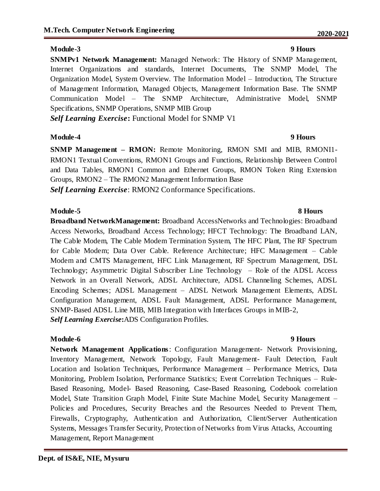### **Module-3 9 Hours**

**SNMPv1 Network Management:** Managed Network: The History of SNMP Management, Internet Organizations and standards, Internet Documents, The SNMP Model, The Organization Model, System Overview. The Information Model – Introduction, The Structure of Management Information, Managed Objects, Management Information Base. The SNMP Communication Model – The SNMP Architecture, Administrative Model, SNMP Specifications, SNMP Operations, SNMP MIB Group

*Self Learning Exercise***:** Functional Model for SNMP V1

### **Module-4 9 Hours**

**SNMP Management - RMON:** Remote Monitoring, RMON SMI and MIB, RMONI1-RMON1 Textual Conventions, RMON1 Groups and Functions, Relationship Between Control and Data Tables, RMON1 Common and Ethernet Groups, RMON Token Ring Extension Groups, RMON2 – The RMON2 Management Information Base

*Self Learning Exercise*: RMON2 Conformance Specifications.

### **Module-5 8 Hours**

**Broadband NetworkManagement:** Broadband AccessNetworks and Technologies: Broadband Access Networks, Broadband Access Technology; HFCT Technology: The Broadband LAN, The Cable Modem, The Cable Modem Termination System, The HFC Plant, The RF Spectrum for Cable Modem; Data Over Cable. Reference Architecture; HFC Management – Cable Modem and CMTS Management, HFC Link Management, RF Spectrum Management, DSL Technology; Asymmetric Digital Subscriber Line Technology – Role of the ADSL Access Network in an Overall Network, ADSL Architecture, ADSL Channeling Schemes, ADSL Encoding Schemes; ADSL Management – ADSL Network Management Elements, ADSL Configuration Management, ADSL Fault Management, ADSL Performance Management, SNMP-Based ADSL Line MIB, MIB Integration with Interfaces Groups in MIB-2, *Self Learning Exercise***:**ADS Configuration Profiles.

### **Module-6 9 Hours**

**Network Management Applications**: Configuration Management- Network Provisioning, Inventory Management, Network Topology, Fault Management- Fault Detection, Fault Location and Isolation Techniques, Performance Management – Performance Metrics, Data Monitoring, Problem Isolation, Performance Statistics; Event Correlation Techniques – Rule-Based Reasoning, Model- Based Reasoning, Case-Based Reasoning, Codebook correlation Model, State Transition Graph Model, Finite State Machine Model, Security Management – Policies and Procedures, Security Breaches and the Resources Needed to Prevent Them, Firewalls, Cryptography, Authentication and Authorization, Client/Server Authentication Systems, Messages Transfer Security, Protection of Networks from Virus Attacks, Accounting Management, Report Management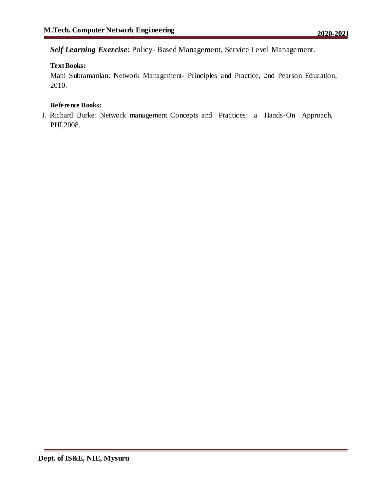*Self Learning Exercise***:** Policy- Based Management, Service Level Management.

### **Text Books:**

Mani Subramanian: Network Management- Principles and Practice, 2nd Pearson Education, 2010.

### **Reference Books:**

J. Richard Burke: Network management Concepts and Practices: a Hands-On Approach, PHI,2008.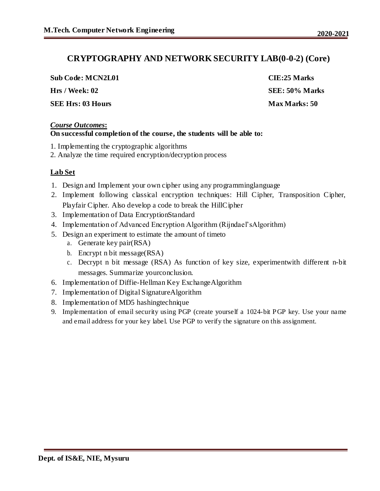## **CRYPTOGRAPHY AND NETWORK SECURITY LAB(0-0-2) (Core)**

| <b>Sub Code: MCN2L01</b> | CIE:25 Marks         |
|--------------------------|----------------------|
| Hrs / Week: 02           | SEE: 50% Marks       |
| <b>SEE Hrs: 03 Hours</b> | <b>Max Marks: 50</b> |

#### *Course Outcomes***: On successful completion of the course, the students will be able to:**

- 1. Implementing the cryptographic algorithms
- 2. Analyze the time required encryption/decryption process

### **Lab Set**

- 1. Design and Implement your own cipher using any programminglanguage
- 2. Implement following classical encryption techniques: Hill Cipher, Transposition Cipher, Playfair Cipher. Also develop a code to break the HillCipher
- 3. Implementation of Data EncryptionStandard
- 4. Implementation of Advanced Encryption Algorithm (Rijndael'sAlgorithm)
- 5. Design an experiment to estimate the amount of timeto
	- a. Generate key pair(RSA)
		- b. Encrypt n bit message(RSA)
		- c. Decrypt n bit message (RSA) As function of key size, experimentwith different n-bit messages. Summarize yourconclusion.
- 6. Implementation of Diffie-Hellman Key ExchangeAlgorithm
- 7. Implementation of Digital SignatureAlgorithm
- 8. Implementation of MD5 hashingtechnique
- 9. Implementation of email security using PGP (create yourself a 1024-bit PGP key. Use your name and email address for your key label. Use PGP to verify the signature on this assignment.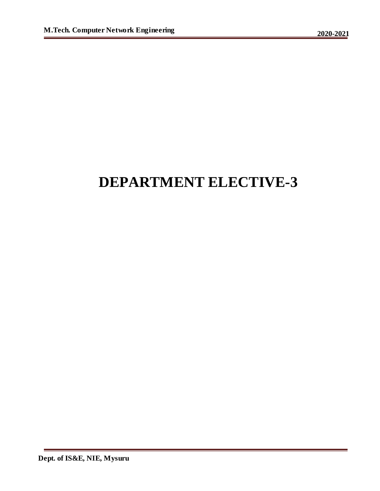# **DEPARTMENT ELECTIVE-3**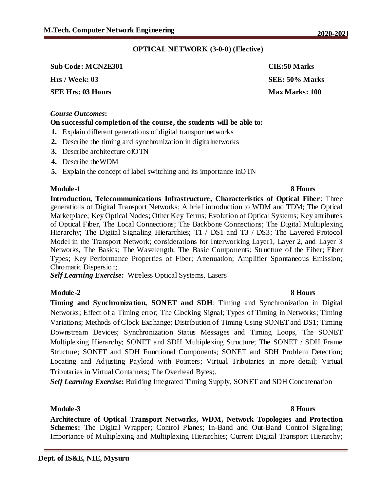### **OPTICAL NETWORK (3-0-0) (Elective)**

**Sub Code: MCN2E301 CIE:50 Marks Hrs / Week: 03 SEE: 50% Marks**

#### *Course Outcomes***:**

### **On successful completion of the course, the students will be able to:**

- **1.** Explain different generations of digital transportnetworks
- **2.** Describe the timing and synchronization in digitalnetworks
- **3.** Describe architecture ofOTN
- **4.** Describe theWDM
- **5.** Explain the concept of label switching and its importance inOTN

### **Module-1** 8 Hours

**Introduction, Telecommunications Infrastructure, Characteristics of Optical Fiber**: Three generations of Digital Transport Networks; A brief introduction to WDM and TDM; The Optical Marketplace; Key Optical Nodes; Other Key Terms; Evolution of Optical Systems; Key attributes of Optical Fiber, The Local Connections; The Backbone Connections; The Digital Multiplexing Hierarchy; The Digital Signaling Hierarchies; T1 / DS1 and T3 / DS3; The Layered Protocol Model in the Transport Network; considerations for Interworking Layer1, Layer 2, and Layer 3 Networks, The Basics; The Wavelength; The Basic Components; Structure of the Fiber; Fiber Types; Key Performance Properties of Fiber; Attenuation; Amplifier Spontaneous Emission; Chromatic Dispersion;.

*Self Learning Exercise***:** Wireless Optical Systems, Lasers

### **Module-2 8 Hours**

**Timing and Synchronization, SONET and SDH**: Timing and Synchronization in Digital Networks; Effect of a Timing error; The Clocking Signal; Types of Timing in Networks; Timing Variations; Methods of Clock Exchange; Distribution of Timing Using SONET and DS1; Timing Downstream Devices; Synchronization Status Messages and Timing Loops, The SONET Multiplexing Hierarchy; SONET and SDH Multiplexing Structure; The SONET / SDH Frame Structure; SONET and SDH Functional Components; SONET and SDH Problem Detection; Locating and Adjusting Payload with Pointers; Virtual Tributaries in more detail; Virtual Tributaries in Virtual Containers; The Overhead Bytes;.

*Self Learning Exercise***:** Building Integrated Timing Supply, SONET and SDH Concatenation

#### **Module-3 8 Hours**

**Architecture of Optical Transport Networks, WDM, Network Topologies and Protection Schemes:** The Digital Wrapper; Control Planes; In-Band and Out-Band Control Signaling; Importance of Multiplexing and Multiplexing Hierarchies; Current Digital Transport Hierarchy;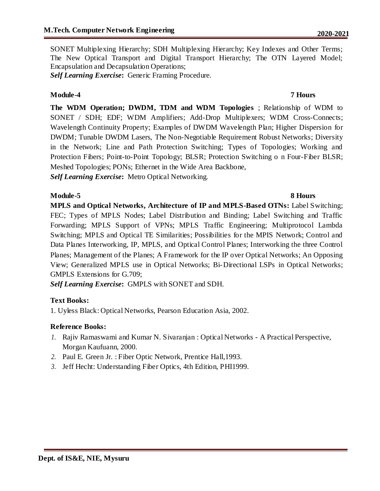SONET Multiplexing Hierarchy; SDH Multiplexing Hierarchy; Key Indexes and Other Terms; The New Optical Transport and Digital Transport Hierarchy; The OTN Layered Model; Encapsulation and Decapsulation Operations;

*Self Learning Exercise***:** Generic Framing Procedure.

### **Module-4 7 Hours**

**The WDM Operation; DWDM, TDM and WDM Topologies** ; Relationship of WDM to SONET / SDH; EDF; WDM Amplifiers; Add-Drop Multiplexers; WDM Cross-Connects; Wavelength Continuity Property; Examples of DWDM Wavelength Plan; Higher Dispersion for DWDM; Tunable DWDM Lasers, The Non-Negotiable Requirement Robust Networks; Diversity in the Network; Line and Path Protection Switching; Types of Topologies; Working and Protection Fibers; Point-to-Point Topology; BLSR; Protection Switching o n Four-Fiber BLSR; Meshed Topologies; PONs; Ethernet in the Wide Area Backbone,

*Self Learning Exercise***:** Metro Optical Networking.

### **Module-5** 8 Hours

**MPLS and Optical Networks, Architecture of IP and MPLS-Based OTNs:** Label Switching; FEC; Types of MPLS Nodes; Label Distribution and Binding; Label Switching and Traffic Forwarding; MPLS Support of VPNs; MPLS Traffic Engineering; Multiprotocol Lambda Switching; MPLS and Optical TE Similarities; Possibilities for the MPIS Network; Control and Data Planes Interworking, IP, MPLS, and Optical Control Planes; Interworking the three Control Planes; Management of the Planes; A Framework for the IP over Optical Networks; An Opposing View; Generalized MPLS use in Optical Networks; Bi-Directional LSPs in Optical Networks; GMPLS Extensions for G.709;

*Self Learning Exercise***:** GMPLS with SONET and SDH.

### **Text Books:**

1. Uyless Black: Optical Networks, Pearson Education Asia, 2002.

### **Reference Books:**

- *1.* Rajiv Ramaswami and Kumar N. Sivaranjan : Optical Networks A Practical Perspective, Morgan Kaufuann, 2000.
- *2.* Paul E. Green Jr. : Fiber Optic Network, Prentice Hall,1993.
- *3.* Jeff Hecht: Understanding Fiber Optics, 4th Edition, PHI1999.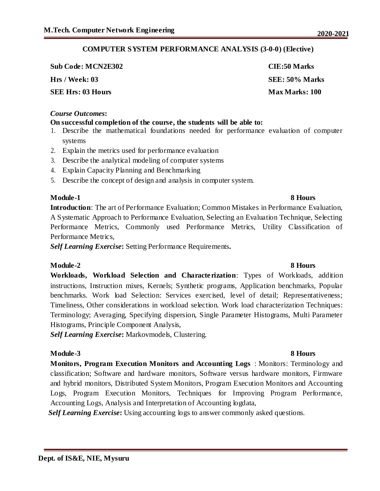### **COMPUTER SYSTEM PERFORMANCE ANALYSIS (3-0-0) (Elective)**

**Sub Code: MCN2E302 CIE:50 Marks Hrs / Week: 03 SEE: 50% Marks SEE Hrs: 03 Hours Max Marks: 100** 

#### *Course Outcomes***:**

### **On successful completion of the course, the students will be able to:**

- 1. Describe the mathematical foundations needed for performance evaluation of computer systems
- 2. Explain the metrics used for performance evaluation
- 3. Describe the analytical modeling of computer systems
- 4. Explain Capacity Planning and Benchmarking
- 5. Describe the concept of design and analysis in computer system.

#### **Module-1** 8 Hours

**Introduction**: The art of Performance Evaluation; Common Mistakes in Performance Evaluation, A Systematic Approach to Performance Evaluation, Selecting an Evaluation Technique, Selecting Performance Metrics, Commonly used Performance Metrics, Utility Classification of Performance Metrics,

*Self Learning Exercise***:** Setting Performance Requirements**.**

#### **Module-2 8 Hours**

**Workloads, Workload Selection and Characterization**: Types of Workloads, addition instructions, Instruction mixes, Kernels; Synthetic programs, Application benchmarks, Popular benchmarks. Work load Selection: Services exercised, level of detail; Representativeness; Timeliness, Other considerations in workload selection. Work load characterization Techniques: Terminology; Averaging, Specifying dispersion, Single Parameter Histograms, Multi Parameter Histograms, Principle Component Analysis,

*Self Learning Exercise***:** Markovmodels, Clustering.

#### **Module-3 8 Hours**

**Monitors, Program Execution Monitors and Accounting Logs** : Monitors: Terminology and classification; Software and hardware monitors, Software versus hardware monitors, Firmware and hybrid monitors, Distributed System Monitors, Program Execution Monitors and Accounting Logs, Program Execution Monitors, Techniques for Improving Program Performance, Accounting Logs, Analysis and Interpretation of Accounting logdata,

*Self Learning Exercise***:** Using accounting logs to answer commonly asked questions.

| ۰.<br>× | ×<br>۰,      | ۰,<br>۰.<br>×<br>۰,<br>. . |
|---------|--------------|----------------------------|
|         |              |                            |
| ΩΩ      | $\mathbf{A}$ |                            |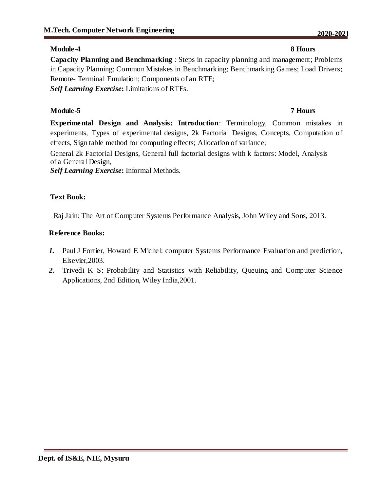### **Module-4 8 Hours**

**Capacity Planning and Benchmarking** : Steps in capacity planning and management; Problems in Capacity Planning; Common Mistakes in Benchmarking; Benchmarking Games; Load Drivers; Remote- Terminal Emulation; Components of an RTE; *Self Learning Exercise***:** Limitations of RTEs.

### **Module-5 7 Hours**

**Experimental Design and Analysis: Introduction**: Terminology, Common mistakes in experiments, Types of experimental designs, 2k Factorial Designs, Concepts, Computation of effects, Sign table method for computing effects; Allocation of variance;

General 2k Factorial Designs, General full factorial designs with k factors: Model, Analysis of a General Design,

*Self Learning Exercise***:** Informal Methods.

### **Text Book:**

Raj Jain: The Art of Computer Systems Performance Analysis, John Wiley and Sons, 2013.

### **Reference Books:**

- *1.* Paul J Fortier, Howard E Michel: computer Systems Performance Evaluation and prediction, Elsevier,2003.
- *2.* Trivedi K S: Probability and Statistics with Reliability, Queuing and Computer Science Applications, 2nd Edition, Wiley India,2001.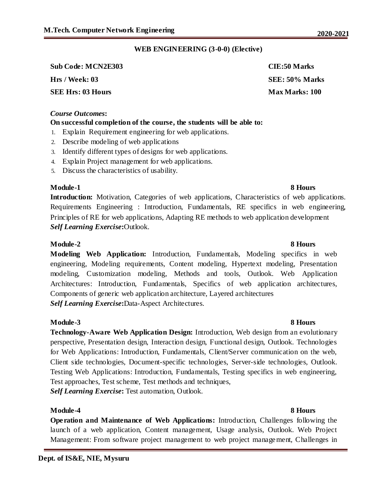### **WEB ENGINEERING (3-0-0) (Elective)**

| <b>Sub Code: MCN2E303</b> | CIE:50 Marks          |
|---------------------------|-----------------------|
| Hrs / Week: 03            | SEE: 50% Marks        |
| <b>SEE Hrs: 03 Hours</b>  | <b>Max Marks: 100</b> |

#### *Course Outcomes***:**

### **On successful completion of the course, the students will be able to:**

- 1. Explain Requirement engineering for web applications.
- 2. Describe modeling of web applications
- 3. Identify different types of designs for web applications.
- 4. Explain Project management for web applications.
- 5. Discuss the characteristics of usability.

#### **Module-1** 8 Hours

**Introduction:** Motivation, Categories of web applications, Characteristics of web applications. Requirements Engineering : Introduction, Fundamentals, RE specifics in web engineering, Principles of RE for web applications, Adapting RE methods to web application development *Self Learning Exercise***:**Outlook.

### **Module-2 8 Hours**

**Modeling Web Application:** Introduction, Fundamentals, Modeling specifics in web engineering, Modeling requirements, Content modeling, Hypertext modeling, Presentation modeling, Customization modeling, Methods and tools, Outlook. Web Application Architectures: Introduction, Fundamentals, Specifics of web application architectures, Components of generic web application architecture, Layered architectures *Self Learning Exercise***:**Data-Aspect Architectures.

#### **Module-3 8 Hours**

**Technology-Aware Web Application Design:** Introduction, Web design from an evolutionary perspective, Presentation design, Interaction design, Functional design, Outlook. Technologies for Web Applications: Introduction, Fundamentals, Client/Server communication on the web, Client side technologies, Document-specific technologies, Server-side technologies, Outlook. Testing Web Applications: Introduction, Fundamentals, Testing specifics in web engineering, Test approaches, Test scheme, Test methods and techniques, *Self Learning Exercise***:** Test automation, Outlook.

#### **Module-4 8 Hours**

**Operation and Maintenance of Web Applications:** Introduction, Challenges following the launch of a web application, Content management, Usage analysis, Outlook. Web Project Management: From software project management to web project management, Challenges in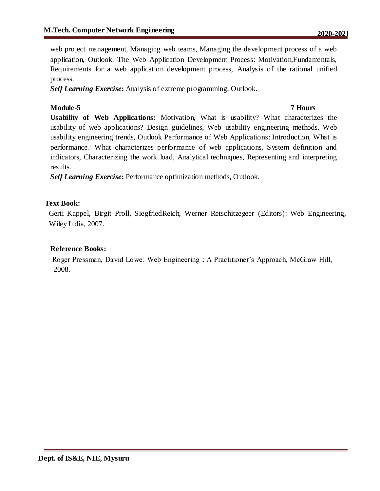web project management, Managing web teams, Managing the development process of a web application, Outlook. The Web Application Development Process: Motivation,Fundamentals, Requirements for a web application development process, Analysis of the rational unified process.

*Self Learning Exercise***:** Analysis of extreme programming, Outlook.

### **Module-5 7 Hours**

**Usability of Web Applications:** Motivation, What is usability? What characterizes the usability of web applications? Design guidelines, Web usability engineering methods, Web usability engineering trends, Outlook Performance of Web Applications: Introduction, What is performance? What characterizes performance of web applications, System definition and indicators, Characterizing the work load, Analytical techniques, Representing and interpreting results.

*Self Learning Exercise***:** Performance optimization methods, Outlook.

### **Text Book:**

Gerti Kappel, Birgit Proll, SiegfriedReich, Werner Retschitzegeer (Editors): Web Engineering, Wiley India, 2007.

### **Reference Books:**

Roger Pressman, David Lowe: Web Engineering : A Practitioner's Approach, McGraw Hill, 2008.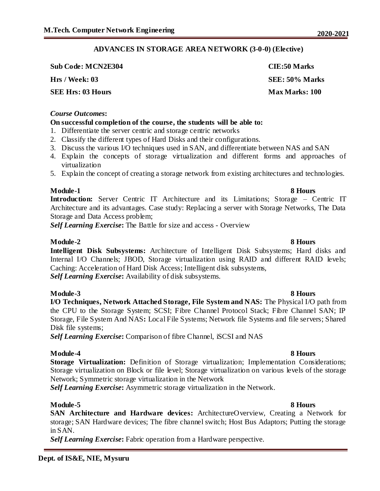### **ADVANCES IN STORAGE AREA NETWORK (3-0-0) (Elective)**

**Sub Code: MCN2E304 CIE:50 Marks**

**SEE Hrs: 03 Hours Max Marks: 100** 

#### *Course Outcomes***:**

### **On successful completion of the course, the students will be able to:**

- 1. Differentiate the server centric and storage centric networks
- 2. Classify the different types of Hard Disks and their configurations.
- 3. Discuss the various I/O techniques used in SAN, and differentiate between NAS and SAN
- 4. Explain the concepts of storage virtualization and different forms and approaches of virtualization
- 5. Explain the concept of creating a storage network from existing architectures and technologies.

### **Module-1** 8 Hours

**Introduction:** Server Centric IT Architecture and its Limitations; Storage – Centric IT Architecture and its advantages. Case study: Replacing a server with Storage Networks, The Data Storage and Data Access problem;

*Self Learning Exercise***:** The Battle for size and access - Overview

### **Module-2 8 Hours**

**Intelligent Disk Subsystems:** Architecture of Intelligent Disk Subsystems; Hard disks and Internal I/O Channels; JBOD, Storage virtualization using RAID and different RAID levels; Caching: Acceleration of Hard Disk Access; Intelligent disk subsystems, *Self Learning Exercise***:** Availability of disk subsystems.

**Module-3 8 Hours I/O Techniques, Network Attached Storage, File System and NAS:** The Physical I/O path from the CPU to the Storage System; SCSI; Fibre Channel Protocol Stack; Fibre Channel SAN; IP Storage, File System And NAS**:** Local File Systems; Network file Systems and file servers; Shared Disk file systems;

*Self Learning Exercise***:** Comparison of fibre Channel, iSCSI and NAS

#### **Module-4 8 Hours**

**Storage Virtualization:** Definition of Storage virtualization; Implementation Considerations; Storage virtualization on Block or file level; Storage virtualization on various levels of the storage Network; Symmetric storage virtualization in the Network

*Self Learning Exercise***:** Asymmetric storage virtualization in the Network.

### **Module-5 8 Hours**

**SAN Architecture and Hardware devices:** ArchitectureOverview, Creating a Network for storage; SAN Hardware devices; The fibre channel switch; Host Bus Adaptors; Putting the storage in SAN.

*Self Learning Exercise***:** Fabric operation from a Hardware perspective.

**Hrs / Week: 03 SEE: 50% Marks**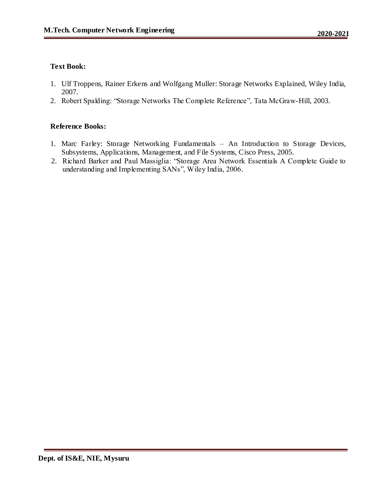### **Text Book:**

- 1. Ulf Troppens, Rainer Erkens and Wolfgang Muller: Storage Networks Explained, Wiley India, 2007.
- 2. Robert Spalding: "Storage Networks The Complete Reference", Tata McGraw-Hill, 2003.

### **Reference Books:**

- 1. Marc Farley: Storage Networking Fundamentals An Introduction to Storage Devices, Subsystems, Applications, Management, and File Systems, Cisco Press, 2005.
- 2. Richard Barker and Paul Massiglia: "Storage Area Network Essentials A Complete Guide to understanding and Implementing SANs", Wiley India, 2006.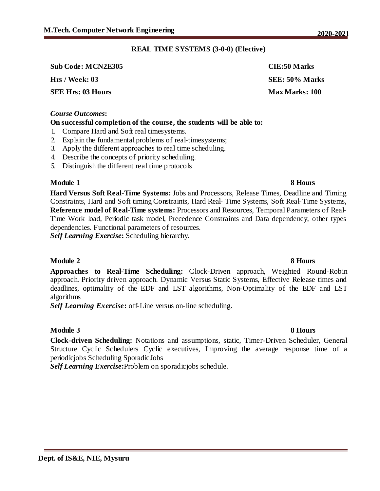### **REAL TIME SYSTEMS (3-0-0) (Elective)**

| <b>Sub Code: MCN2E305</b> | CIE:50 Marks          |
|---------------------------|-----------------------|
| Hrs / Week: 03            | SEE: 50% Marks        |
| <b>SEE Hrs: 03 Hours</b>  | <b>Max Marks: 100</b> |

#### *Course Outcomes***:**

#### **On successful completion of the course, the students will be able to:**

- 1. Compare Hard and Soft real timesystems.
- 2. Explain the fundamental problems of real-timesystems;
- 3. Apply the different approaches to real time scheduling.
- 4. Describe the concepts of priority scheduling.
- 5. Distinguish the different real time protocols

#### **Module 1 8 Hours**

**Hard Versus Soft Real-Time Systems:** Jobs and Processors, Release Times, Deadline and Timing Constraints, Hard and Soft timing Constraints, Hard Real- Time Systems, Soft Real-Time Systems, **Reference model of Real-Time systems:** Processors and Resources, Temporal Parameters of Real-Time Work load, Periodic task model, Precedence Constraints and Data dependency, other types dependencies. Functional parameters of resources.

*Self Learning Exercise***:** Scheduling hierarchy.

#### **Module 2** 8 Hours

**Approaches to Real-Time Scheduling:** Clock-Driven approach, Weighted Round-Robin approach. Priority driven approach. Dynamic Versus Static Systems, Effective Release times and deadlines, optimality of the EDF and LST algorithms, Non-Optimality of the EDF and LST algorithms

*Self Learning Exercise***:** off-Line versus on-line scheduling.

#### **Module 3 8 Hours**

**Clock-driven Scheduling:** Notations and assumptions, static, Timer-Driven Scheduler, General Structure Cyclic Schedulers Cyclic executives, Improving the average response time of a periodicjobs Scheduling SporadicJobs

*Self Learning Exercise***:**Problem on sporadicjobs schedule.

| CIE.OU MIAIKS  |
|----------------|
| SEE: 50% Marks |
| Max Marks: 100 |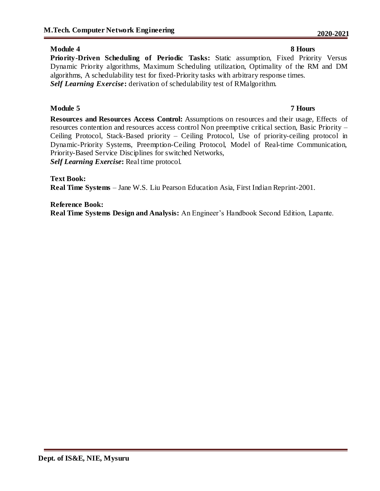### **Module 4** 8 Hours

**Priority-Driven Scheduling of Periodic Tasks:** Static assumption, Fixed Priority Versus Dynamic Priority algorithms, Maximum Scheduling utilization, Optimality of the RM and DM algorithms, A schedulability test for fixed-Priority tasks with arbitrary response times. *Self Learning Exercise***:** derivation of schedulability test of RMalgorithm.

### **Module 5 7 Hours**

**Resources and Resources Access Control:** Assumptions on resources and their usage, Effects of resources contention and resources access control Non preemptive critical section, Basic Priority – Ceiling Protocol, Stack-Based priority – Ceiling Protocol, Use of priority-ceiling protocol in Dynamic-Priority Systems, Preemption-Ceiling Protocol, Model of Real-time Communication, Priority-Based Service Disciplines for switched Networks, *Self Learning Exercise***:** Real time protocol.

**Text Book:**

**Real Time Systems** – Jane W.S. Liu Pearson Education Asia, First Indian Reprint-2001.

**Reference Book: Real Time Systems Design and Analysis:** An Engineer's Handbook Second Edition, Lapante.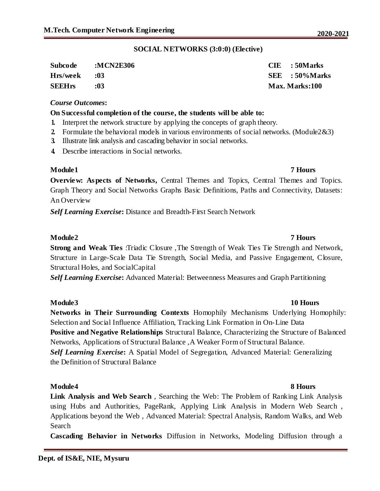| <b>Subcode</b> | :MCN2E306 | $CIE$ : 50 Marks      |
|----------------|-----------|-----------------------|
| Hrs/week       | 0.3       | $SEE$ : 50% Marks     |
| <b>SEEHrs</b>  | :03       | <b>Max. Marks:100</b> |

#### *Course Outcomes***:**

#### **On Successful completion of the course, the students will be able to:**

- **1.** Interpret the network structure by applying the concepts of graph theory.
- **2.** Formulate the behavioral models in various environments of social networks. (Module2&3)
- **3.** Illustrate link analysis and cascading behavior in social networks.
- **4.** Describe interactions in Social networks.

#### **Module1 7 Hours**

**Overview: Aspects of Networks, Central Themes and Topics, Central Themes and Topics.** Graph Theory and Social Networks Graphs Basic Definitions, Paths and Connectivity, Datasets: An Overview

*Self Learning Exercise***:** Distance and Breadth-First Search Network

#### **Module2 7 Hours**

**Strong and Weak Ties** :Triadic Closure ,The Strength of Weak Ties Tie Strength and Network, Structure in Large-Scale Data Tie Strength, Social Media, and Passive Engagement, Closure, Structural Holes, and SocialCapital

*Self Learning Exercise***:** Advanced Material: Betweenness Measures and Graph Partitioning

#### **Module3 10 Hours**

**Networks in Their Surrounding Contexts** Homophily Mechanisms Underlying Homophily: Selection and Social Influence Affiliation, Tracking Link Formation in On-Line Data **Positive and Negative Relationships** Structural Balance, Characterizing the Structure of Balanced Networks, Applications of Structural Balance ,A Weaker Form of Structural Balance. *Self Learning Exercise***:** A Spatial Model of Segregation, Advanced Material: Generalizing the Definition of Structural Balance

#### **Module4 8 Hours**

**Link Analysis and Web Search** , Searching the Web: The Problem of Ranking Link Analysis using Hubs and Authorities, PageRank, Applying Link Analysis in Modern Web Search , Applications beyond the Web , Advanced Material: Spectral Analysis, Random Walks, and Web Search

**Cascading Behavior in Networks** Diffusion in Networks, Modeling Diffusion through a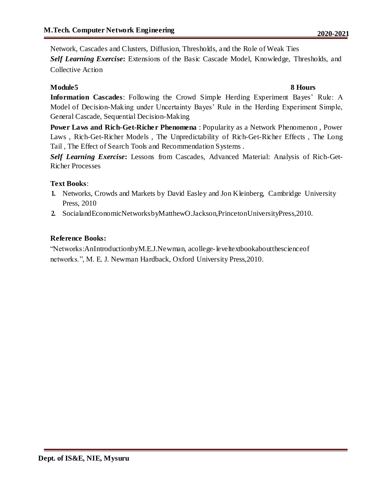Network, Cascades and Clusters, Diffusion, Thresholds, and the Role of Weak Ties *Self Learning Exercise***:** Extensions of the Basic Cascade Model, Knowledge, Thresholds, and Collective Action

### **Module5 8 Hours**

**Information Cascades**: Following the Crowd Simple Herding Experiment Bayes' Rule: A Model of Decision-Making under Uncertainty Bayes' Rule in the Herding Experiment Simple, General Cascade, Sequential Decision-Making

**Power Laws and Rich-Get-Richer Phenomena** : Popularity as a Network Phenomenon , Power Laws , Rich-Get-Richer Models , The Unpredictability of Rich-Get-Richer Effects , The Long Tail , The Effect of Search Tools and Recommendation Systems .

*Self Learning Exercise***:** Lessons from Cascades, Advanced Material: Analysis of Rich-Get-Richer Processes

### **Text Books**:

- **1.** Networks, Crowds and Markets by David Easley and Jon Kleinberg, Cambridge University Press, 2010
- **2.** SocialandEconomicNetworksbyMatthewO.Jackson,PrincetonUniversityPress,2010.

### **Reference Books:**

"Networks:AnIntroductionbyM.E.J.Newman, acollege-leveltextbookaboutthescienceof networks.", M. E. J. Newman Hardback, Oxford University Press,2010.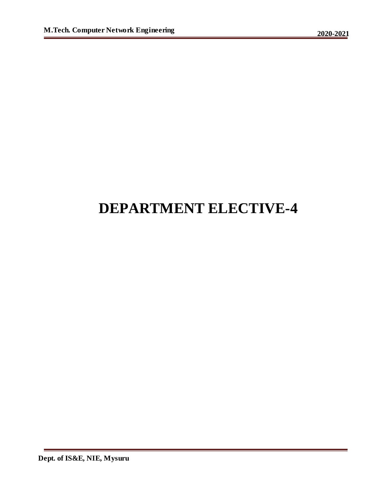# **DEPARTMENT ELECTIVE-4**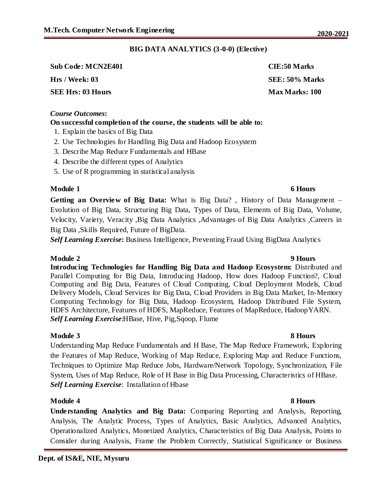### **BIG DATA ANALYTICS (3-0-0) (Elective)**

**Sub Code: MCN2E401 CIE:50 Marks Hrs / Week: 03 SEE: 50% Marks SEE Hrs: 03 Hours Max Marks: 100** 

#### *Course Outcomes***:**

### **On successful completion of the course, the students will be able to:**

- 1. Explain the basics of Big Data
- 2. Use Technologies for Handling Big Data and Hadoop Ecosystem
- 3. Describe Map Reduce Fundamentals and HBase
- 4. Describe the different types of Analytics
- 5. Use of R programming in statistical analysis

### **Module 1 6 Hours**

**Getting an Overview of Big Data:** What is Big Data? , History of Data Management – Evolution of Big Data, Structuring Big Data, Types of Data, Elements of Big Data, Volume, Velocity, Variety, Veracity ,Big Data Analytics ,Advantages of Big Data Analytics ,Careers in Big Data ,Skills Required, Future of BigData.

*Self Learning Exercise***:** Business Intelligence, Preventing Fraud Using BigData Analytics

#### **Module 2 9 Hours**

**Introducing Technologies for Handling Big Data and Hadoop Ecosystem:** Distributed and Parallel Computing for Big Data, Introducing Hadoop, How does Hadoop Function?, Cloud Computing and Big Data, Features of Cloud Computing, Cloud Deployment Models, Cloud Delivery Models, Cloud Services for Big Data, Cloud Providers in Big Data Market, In-Memory Computing Technology for Big Data, Hadoop Ecosystem, Hadoop Distributed File System, HDFS Architecture, Features of HDFS, MapReduce, Features of MapReduce, HadoopYARN. *Self Learning Exercise*:HBase, Hive, Pig,Sqoop, Flume

### **Module 3 8 Hours**

Understanding Map Reduce Fundamentals and H Base, The Map Reduce Framework, Exploring the Features of Map Reduce, Working of Map Reduce, Exploring Map and Reduce Functions, Techniques to Optimize Map Reduce Jobs, Hardware/Network Topology, Synchronization, File System, Uses of Map Reduce, Role of H Base in Big Data Processing, Characteristics of HBase. *Self Learning Exercise*: Installation of Hbase

### **Module 4 8 Hours**

**Understanding Analytics and Big Data:** Comparing Reporting and Analysis, Reporting, Analysis, The Analytic Process, Types of Analytics, Basic Analytics, Advanced Analytics, Operationalized Analytics, Monetized Analytics, Characteristics of Big Data Analysis, Points to Consider during Analysis, Frame the Problem Correctly, Statistical Significance or Business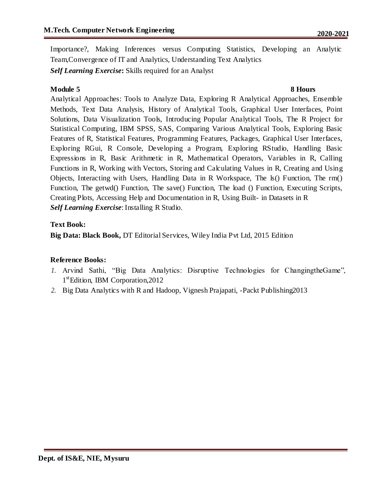Importance?, Making Inferences versus Computing Statistics, Developing an Analytic Team,Convergence of IT and Analytics, Understanding Text Analytics *Self Learning Exercise***:** Skills required for an Analyst

### **Module 5** 8 Hours

Analytical Approaches: Tools to Analyze Data, Exploring R Analytical Approaches, Ensemble Methods, Text Data Analysis, History of Analytical Tools, Graphical User Interfaces, Point Solutions, Data Visualization Tools, Introducing Popular Analytical Tools, The R Project for Statistical Computing, IBM SPSS, SAS, Comparing Various Analytical Tools, Exploring Basic Features of R, Statistical Features, Programming Features, Packages, Graphical User Interfaces, Exploring RGui, R Console, Developing a Program, Exploring RStudio, Handling Basic Expressions in R, Basic Arithmetic in R, Mathematical Operators, Variables in R, Calling Functions in R, Working with Vectors, Storing and Calculating Values in R, Creating and Using Objects, Interacting with Users, Handling Data in R Workspace, The  $ls()$  Function, The rm() Function, The getwd() Function, The save() Function, The load () Function, Executing Scripts, Creating Plots, Accessing Help and Documentation in R, Using Built- in Datasets in R *Self Learning Exercise*: Installing R Studio.

### **Text Book:**

**Big Data: Black Book,** DT Editorial Services, Wiley India Pvt Ltd, 2015 Edition

### **Reference Books:**

- *1.* Arvind Sathi, "Big Data Analytics: Disruptive Technologies for ChangingtheGame", 1<sup>st</sup>Edition, IBM Corporation, 2012
- *2.* Big Data Analytics with R and Hadoop, Vignesh Prajapati, -Packt Publishing2013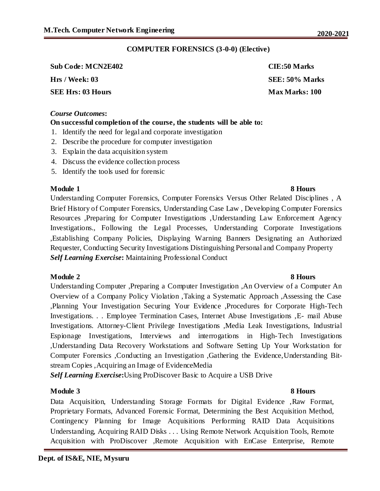### **COMPUTER FORENSICS (3-0-0) (Elective)**

| <b>Sub Code: MCN2E402</b> | CIE:50 Marks          |
|---------------------------|-----------------------|
| Hrs / Week: 03            | SEE: 50% Marks        |
| <b>SEE Hrs: 03 Hours</b>  | <b>Max Marks: 100</b> |

#### *Course Outcomes***:**

#### **On successful completion of the course, the students will be able to:**

- 1. Identify the need for legal and corporate investigation
- 2. Describe the procedure for computer investigation
- 3. Explain the data acquisition system
- 4. Discuss the evidence collection process
- 5. Identify the tools used for forensic

### **Module 1 8 Hours**

Understanding Computer Forensics, Computer Forensics Versus Other Related Disciplines , A Brief History of Computer Forensics, Understanding Case Law , Developing Computer Forensics Resources ,Preparing for Computer Investigations ,Understanding Law Enforcement Agency Investigations., Following the Legal Processes, Understanding Corporate Investigations ,Establishing Company Policies, Displaying Warning Banners Designating an Authorized Requester, Conducting Security Investigations Distinguishing Personal and Company Property *Self Learning Exercise***:** Maintaining Professional Conduct

### **Module 2 8 Hours**

# Understanding Computer ,Preparing a Computer Investigation ,An Overview of a Computer An Overview of a Company Policy Violation ,Taking a Systematic Approach ,Assessing the Case ,Planning Your Investigation Securing Your Evidence ,Procedures for Corporate High-Tech Investigations. . . Employee Termination Cases, Internet Abuse Investigations ,E- mail Abuse Investigations. Attorney-Client Privilege Investigations ,Media Leak Investigations, Industrial Espionage Investigations, Interviews and interrogations in High-Tech Investigations ,Understanding Data Recovery Workstations and Software Setting Up Your Workstation for Computer Forensics ,Conducting an Investigation ,Gathering the Evidence,Understanding Bitstream Copies ,Acquiring an Image of EvidenceMedia

*Self Learning Exercise***:**Using ProDiscover Basic to Acquire a USB Drive

### **Module 3 8 Hours**

Data Acquisition, Understanding Storage Formats for Digital Evidence ,Raw Format, Proprietary Formats, Advanced Forensic Format, Determining the Best Acquisition Method, Contingency Planning for Image Acquisitions Performing RAID Data Acquisitions Understanding, Acquiring RAID Disks . . . Using Remote Network Acquisition Tools, Remote Acquisition with ProDiscover ,Remote Acquisition with EnCase Enterprise, Remote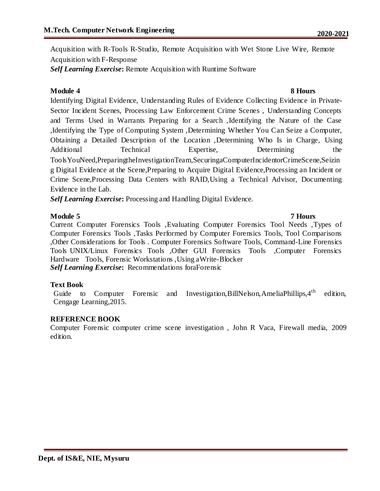Acquisition with R-Tools R-Studio, Remote Acquisition with Wet Stone Live Wire, Remote Acquisition with F-Response

*Self Learning Exercise***:** Remote Acquisition with Runtime Software

### **Module 4 8 Hours**

Identifying Digital Evidence, Understanding Rules of Evidence Collecting Evidence in Private-Sector Incident Scenes, Processing Law Enforcement Crime Scenes , Understanding Concepts and Terms Used in Warrants Preparing for a Search ,Identifying the Nature of the Case ,Identifying the Type of Computing System ,Determining Whether You Can Seize a Computer, Obtaining a Detailed Description of the Location ,Determining Who Is in Charge, Using Additional Technical Expertise, Determining the ToolsYouNeed,PreparingtheInvestigationTeam,SecuringaComputerIncidentorCrimeScene,Seizin g Digital Evidence at the Scene,Preparing to Acquire Digital Evidence,Processing an Incident or Crime Scene,Processing Data Centers with RAID,Using a Technical Advisor, Documenting Evidence in the Lab.

*Self Learning Exercise***:** Processing and Handling Digital Evidence.

### **Module 5 7 Hours** Current Computer Forensics Tools ,Evaluating Computer Forensics Tool Needs ,Types of Computer Forensics Tools ,Tasks Performed by Computer Forensics Tools, Tool Comparisons ,Other Considerations for Tools . Computer Forensics Software Tools, Command-Line Forensics Tools UNIX/Linux Forensics Tools ,Other GUI Forensics Tools ,Computer Forensics Hardware Tools, Forensic Workstations ,Using aWrite-Blocker *Self Learning Exercise***:** Recommendations foraForensic

#### **Text Book**

Guide to Computer Forensic and Investigation, BillNelson, AmeliaPhillips, 4<sup>th</sup> edition, Cengage Learning,2015.

#### **REFERENCE BOOK**

Computer Forensic computer crime scene investigation , John R Vaca, Firewall media, 2009 edition.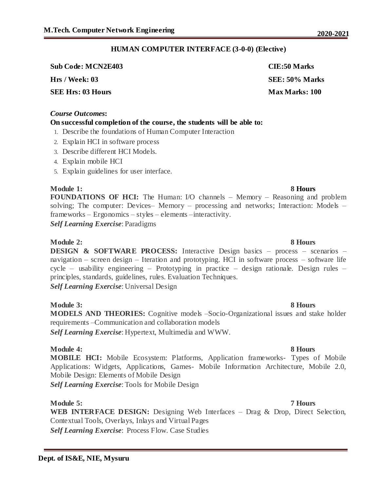# **HUMAN COMPUTER INTERFACE (3-0-0) (Elective)**

**Sub Code: MCN2E403 CIE:50 Marks Hrs / Week: 03 SEE: 50% Marks SEE Hrs: 03 Hours Max Marks: 100** 

### *Course Outcomes***:**

# **On successful completion of the course, the students will be able to:**

- 1. Describe the foundations of Human Computer Interaction
- 2. Explain HCI in software process
- 3. Describe different HCI Models.
- 4. Explain mobile HCI
- 5. Explain guidelines for user interface.

### **Module 1: 8 Hours**

**FOUNDATIONS OF HCI:** The Human: I/O channels – Memory – Reasoning and problem solving; The computer: Devices– Memory – processing and networks; Interaction: Models – frameworks – Ergonomics – styles – elements –interactivity.

*Self Learning Exercise*: Paradigms

# **Module 2: 8 Hours**

**DESIGN & SOFTWARE PROCESS:** Interactive Design basics – process – scenarios – navigation – screen design – Iteration and prototyping. HCI in software process – software life cycle – usability engineering – Prototyping in practice – design rationale. Design rules – principles, standards, guidelines, rules. Evaluation Techniques.

*Self Learning Exercise*: Universal Design

### **Module 3: 8 Hours**

**MODELS AND THEORIES:** Cognitive models –Socio-Organizational issues and stake holder requirements –Communication and collaboration models *Self Learning Exercise*: Hypertext, Multimedia and WWW.

# **Module 4:** 8 Hours

**MOBILE HCI:** Mobile Ecosystem: Platforms, Application frameworks- Types of Mobile Applications: Widgets, Applications, Games- Mobile Information Architecture, Mobile 2.0, Mobile Design: Elements of Mobile Design

*Self Learning Exercise*: Tools for Mobile Design

# **Module 5: 7 Hours**

**WEB INTERFACE DESIGN:** Designing Web Interfaces – Drag & Drop, Direct Selection, Contextual Tools, Overlays, Inlays and Virtual Pages *Self Learning Exercise*: Process Flow. Case Studies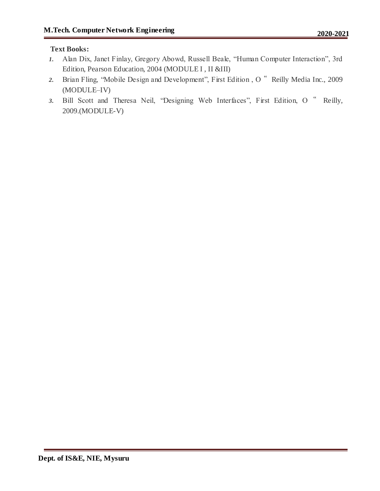# **Text Books:**

- *1.* Alan Dix, Janet Finlay, Gregory Abowd, Russell Beale, "Human Computer Interaction", 3rd Edition, Pearson Education, 2004 (MODULE I , II &III)
- *2.* Brian Fling, "Mobile Design and Development", First Edition , O " Reilly Media Inc., 2009 (MODULE–IV)
- *3.* Bill Scott and Theresa Neil, "Designing Web Interfaces", First Edition, O " Reilly, 2009.(MODULE-V)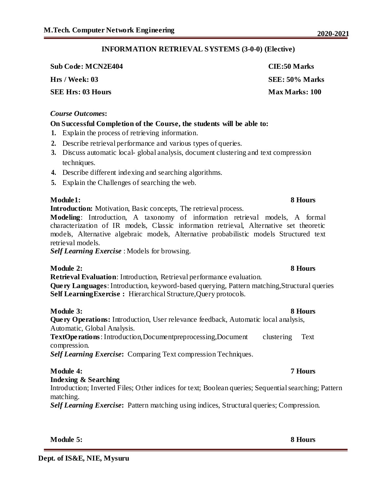# **INFORMATION RETRIEVAL SYSTEMS (3-0-0) (Elective)**

**Sub Code: MCN2E404 CIE:50 Marks**

# *Course Outcomes***:**

# **On Successful Completion of the Course, the students will be able to:**

- **1.** Explain the process of retrieving information.
- **2.** Describe retrieval performance and various types of queries.
- **3.** Discuss automatic local- global analysis, document clustering and text compression techniques.
- **4.** Describe different indexing and searching algorithms.
- **5.** Explain the Challenges of searching the web.

# **Module1: 8 Hours**

**Introduction:** Motivation, Basic concepts, The retrieval process.

**Modeling**: Introduction, A taxonomy of information retrieval models, A formal characterization of IR models, Classic information retrieval, Alternative set theoretic models, Alternative algebraic models, Alternative probabilistic models Structured text retrieval models.

*Self Learning Exercise* : Models for browsing.

# **Module 2: 8 Hours**

**Retrieval Evaluation**: Introduction, Retrieval performance evaluation. **Query Languages**: Introduction, keyword-based querying, Pattern matching,Structural queries **Self Learning Exercise :** Hierarchical Structure, Query protocols.

**Module 3: 8 Hours**

**Query Operations:** Introduction, User relevance feedback, Automatic local analysis, Automatic, Global Analysis.

**TextOperations**: Introduction,Documentpreprocessing,Document clustering Text compression.

*Self Learning Exercise***:** Comparing Text compression Techniques.

# **Module 4: 7 Hours**

# **Indexing & Searching**

Introduction; Inverted Files; Other indices for text; Boolean queries; Sequential searching; Pattern matching.

*Self Learning Exercise***:** Pattern matching using indices, Structural queries; Compression.

**Module 5: 8 Hours**

**Hrs / Week: 03 SEE: 50% Marks SEE Hrs: 03 Hours Max Marks: 100**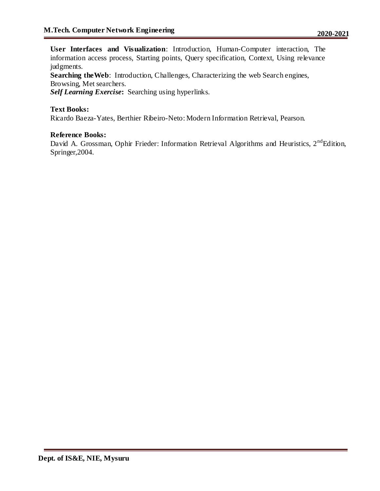**User Interfaces and Visualization**: Introduction, Human-Computer interaction, The information access process, Starting points, Query specification, Context, Using relevance judgments.

**Searching the Web:** Introduction, Challenges, Characterizing the web Search engines, Browsing, Met searchers.

*Self Learning Exercise***:** Searching using hyperlinks.

# **Text Books:**

Ricardo Baeza-Yates, Berthier Ribeiro-Neto: Modern Information Retrieval, Pearson.

### **Reference Books:**

David A. Grossman, Ophir Frieder: Information Retrieval Algorithms and Heuristics,  $2<sup>nd</sup>$ Edition, Springer,2004.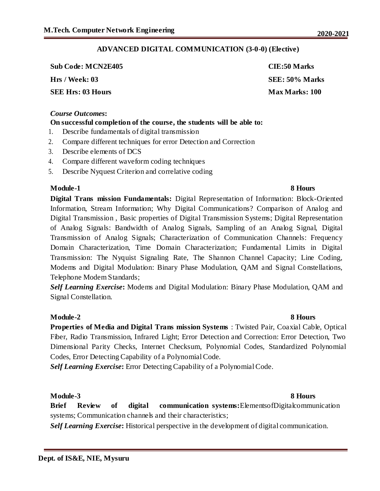# **ADVANCED DIGITAL COMMUNICATION (3-0-0) (Elective)**

| <b>Sub Code: MCN2E405</b> | CIE:50 Marks          |
|---------------------------|-----------------------|
| Hrs / Week: 03            | SEE: 50% Marks        |
| SEE Hrs: 03 Hours         | <b>Max Marks: 100</b> |

### *Course Outcomes***:**

# **On successful completion of the course, the students will be able to:**

- 1. Describe fundamentals of digital transmission
- 2. Compare different techniques for error Detection and Correction
- 3. Describe elements of DCS
- 4. Compare different waveform coding techniques
- 5. Describe Nyquest Criterion and correlative coding

# **Module-1** 8 Hours

**Digital Trans mission Fundamentals:** Digital Representation of Information: Block-Oriented Information, Stream Information; Why Digital Communications? Comparison of Analog and Digital Transmission , Basic properties of Digital Transmission Systems; Digital Representation of Analog Signals: Bandwidth of Analog Signals, Sampling of an Analog Signal, Digital Transmission of Analog Signals; Characterization of Communication Channels: Frequency Domain Characterization, Time Domain Characterization; Fundamental Limits in Digital Transmission: The Nyquist Signaling Rate, The Shannon Channel Capacity; Line Coding, Modems and Digital Modulation: Binary Phase Modulation, QAM and Signal Constellations, Telephone Modem Standards;

*Self Learning Exercise***:** Modems and Digital Modulation: Binary Phase Modulation, QAM and Signal Constellation.

# **Module-2 8 Hours**

**Properties of Media and Digital Trans mission Systems** : Twisted Pair, Coaxial Cable, Optical Fiber, Radio Transmission, Infrared Light; Error Detection and Correction: Error Detection, Two Dimensional Parity Checks, Internet Checksum, Polynomial Codes, Standardized Polynomial Codes, Error Detecting Capability of a Polynomial Code.

*Self Learning Exercise***:** Error Detecting Capability of a Polynomial Code.

# **Module-3 8 Hours**

**Brief Review of digital communication systems:**ElementsofDigitalcommunication systems; Communication channels and their characteristics;

*Self Learning Exercise***:** Historical perspective in the development of digital communication.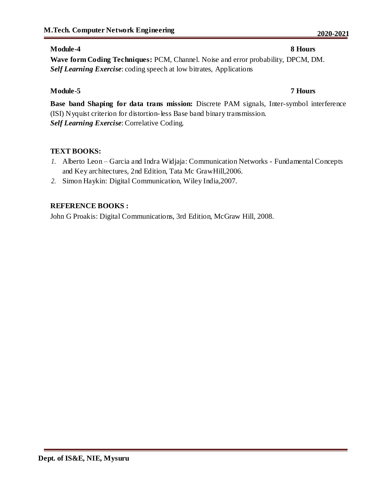# **Module-4 8 Hours**

**Wave form Coding Techniques:** PCM, Channel. Noise and error probability, DPCM, DM. *Self Learning Exercise*: coding speech at low bitrates, Applications

# **Module-5 7 Hours**

**Base band Shaping for data trans mission:** Discrete PAM signals, Inter-symbol interference (ISI) Nyquist criterion for distortion-less Base band binary transmission. *Self Learning Exercise*: Correlative Coding.

# **TEXT BOOKS:**

- *1.* Alberto Leon Garcia and Indra Widjaja: Communication Networks Fundamental Concepts and Key architectures, 2nd Edition, Tata Mc GrawHill,2006.
- *2.* Simon Haykin: Digital Communication, Wiley India,2007.

# **REFERENCE BOOKS :**

John G Proakis: Digital Communications, 3rd Edition, McGraw Hill, 2008.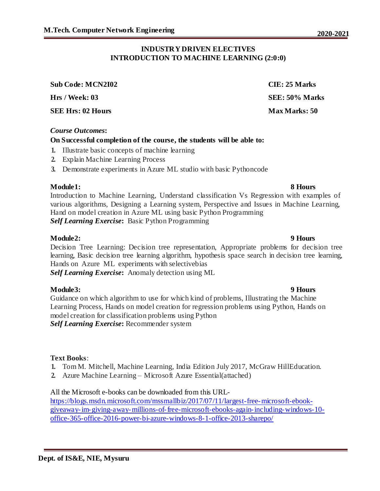### **INDUSTRY DRIVEN ELECTIVES INTRODUCTION TO MACHINE LEARNING (2:0:0)**

**Sub Code: MCN2I02 CIE: 25 Marks**

**SEE Hrs: 02 Hours Max Marks: 50**

### *Course Outcomes***:**

### **On Successful completion of the course, the students will be able to:**

- **1.** Illustrate basic concepts of machine learning
- **2.** Explain Machine Learning Process
- **3.** Demonstrate experiments in Azure ML studio with basic Pythoncode

### **Module1: 8 Hours**

Introduction to Machine Learning, Understand classification Vs Regression with examples of various algorithms, Designing a Learning system, Perspective and Issues in Machine Learning, Hand on model creation in Azure ML using basic Python Programming *Self Learning Exercise***:** Basic Python Programming

### **Module2: 9 Hours**

Decision Tree Learning: Decision tree representation, Appropriate problems for decision tree learning, Basic decision tree learning algorithm, hypothesis space search in decision tree learning, Hands on Azure ML experiments with selectivebias

*Self Learning Exercise***:** Anomaly detection using ML

### **Module3: 9 Hours**

Guidance on which algorithm to use for which kind of problems, Illustrating the Machine Learning Process, Hands on model creation for regression problems using Python, Hands on model creation for classification problems using Python *Self Learning Exercise***:** Recommender system

### **Text Books**:

- **1.** Tom M. Mitchell, Machine Learning, India Edition July 2017, McGraw HillEducation.
- **2.** Azure Machine Learning Microsoft Azure Essential(attached)

### All the Microsoft e-books can be downloaded from this URL-

https://blogs.msdn.microsoft.com/mssmallbiz/2017/07/11/largest-free-microsoft-ebookgiveaway-im-giving-away-millions-of-free-microsoft-ebooks-again-including-windows-10 office-365-office-2016-power-bi-azure-windows-8-1-office-2013-sharepo/

**Hrs / Week: 03 SEE: 50% Marks**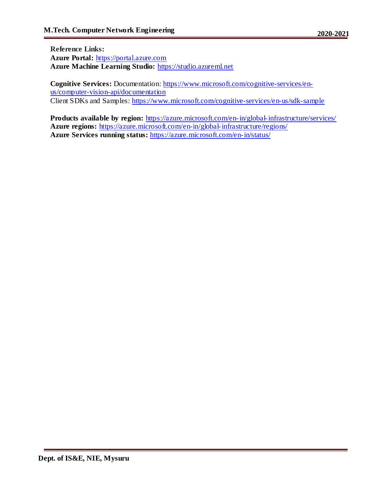**Reference Links: Azure Portal:** https://portal.azure.com **Azure Machine Learning Studio:** https://studio.azureml.net

**Cognitive Services:** Documentation: https://www.microsoft.com/cognitive-services/enus/computer-vision-api/documentation Client SDKs and Samples: https://www.microsoft.com/cognitive-services/en-us/sdk-sample

**Products available by region:** https://azure.microsoft.com/en-in/global-infrastructure/services/ **Azure regions:** https://azure.microsoft.com/en-in/global-infrastructure/regions/ **Azure Services running status:** https://azure.microsoft.com/en-in/status/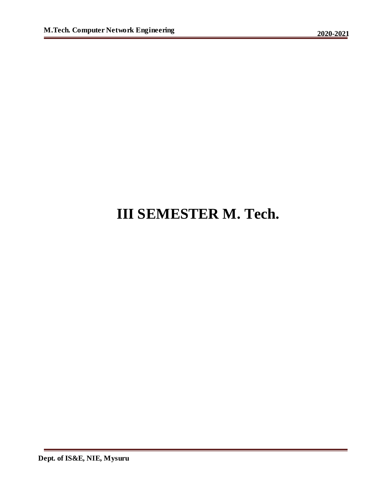# **III SEMESTER M. Tech.**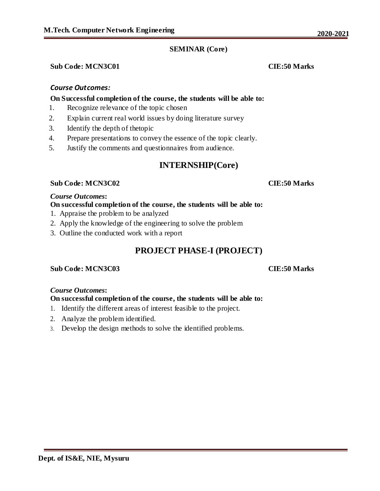# **SEMINAR (Core)**

# **Sub Code: MCN3C01 CIE:50 Marks**

# *Course Outcomes:*

### **On Successful completion of the course, the students will be able to:**

- 1. Recognize relevance of the topic chosen
- 2. Explain current real world issues by doing literature survey
- 3. Identify the depth of thetopic
- 4. Prepare presentations to convey the essence of the topic clearly.
- 5. Justify the comments and questionnaires from audience.

# **INTERNSHIP(Core)**

### **Sub Code: MCN3C02 CIE:50 Marks**

### *Course Outcomes***:**

# **On successful completion of the course, the students will be able to:**

- 1. Appraise the problem to be analyzed
- 2. Apply the knowledge of the engineering to solve the problem
- 3. Outline the conducted work with a report

# **PROJECT PHASE-I (PROJECT)**

### **Sub Code: MCN3C03 CIE:50 Marks**

### *Course Outcomes***:**

### **On successful completion of the course, the students will be able to:**

- 1. Identify the different areas of interest feasible to the project.
- 2. Analyze the problem identified.
- 3. Develop the design methods to solve the identified problems.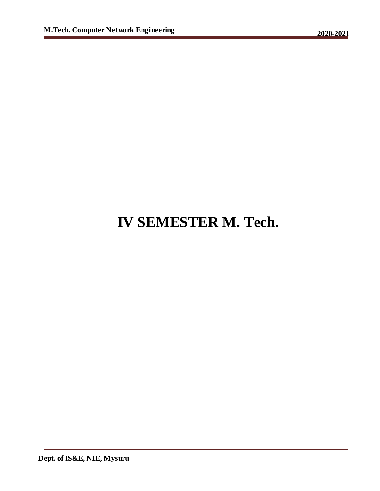# **IV SEMESTER M. Tech.**